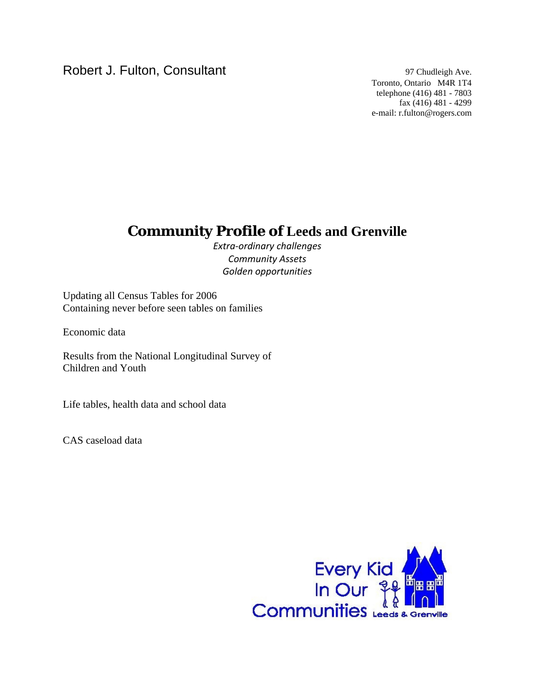Robert J. Fulton, Consultant 97 Chudleigh Ave.

Toronto, Ontario M4R 1T4 telephone (416) 481 - 7803 fax (416) 481 - 4299 e-mail: r.fulton@rogers.com

# **Community Profile of Leeds and Grenville**

*Extra‐ordinary challenges Community Assets Golden opportunities*

Updating all Census Tables for 2006 Containing never before seen tables on families

Economic data

Results from the National Longitudinal Survey of Children and Youth

Life tables, health data and school data

CAS caseload data

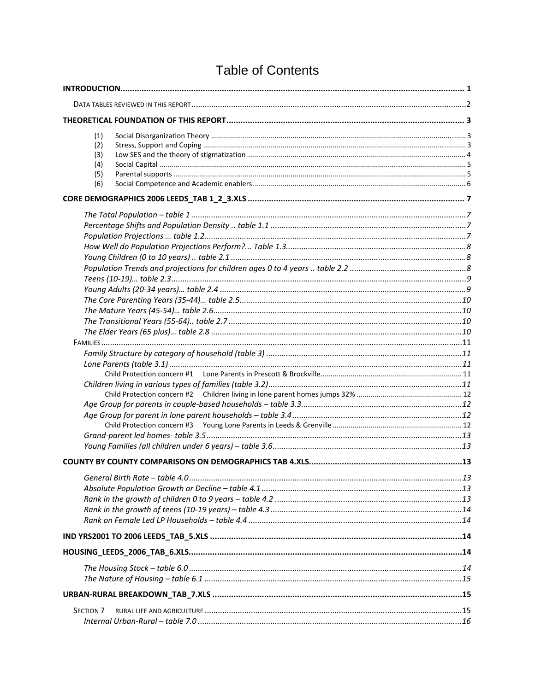| (1)              |  |
|------------------|--|
| (2)              |  |
| (3)              |  |
| (4)              |  |
| (5)              |  |
| (6)              |  |
|                  |  |
|                  |  |
|                  |  |
|                  |  |
|                  |  |
|                  |  |
|                  |  |
|                  |  |
|                  |  |
|                  |  |
|                  |  |
|                  |  |
|                  |  |
|                  |  |
|                  |  |
|                  |  |
|                  |  |
|                  |  |
|                  |  |
|                  |  |
|                  |  |
|                  |  |
|                  |  |
|                  |  |
|                  |  |
|                  |  |
|                  |  |
|                  |  |
|                  |  |
|                  |  |
|                  |  |
|                  |  |
|                  |  |
|                  |  |
|                  |  |
|                  |  |
| <b>SECTION 7</b> |  |
|                  |  |

# **Table of Contents**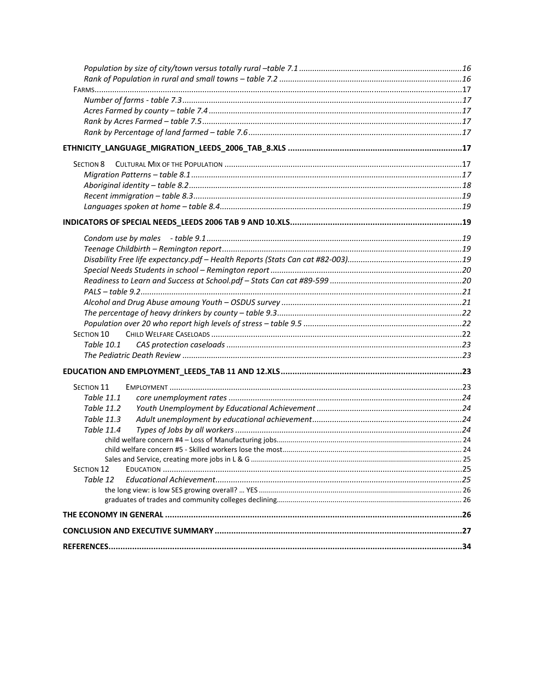| <b>SECTION 8</b>  |  |
|-------------------|--|
|                   |  |
|                   |  |
|                   |  |
|                   |  |
|                   |  |
|                   |  |
|                   |  |
|                   |  |
|                   |  |
|                   |  |
|                   |  |
|                   |  |
|                   |  |
|                   |  |
| SECTION 10        |  |
|                   |  |
|                   |  |
|                   |  |
| <b>SECTION 11</b> |  |
| Table 11.1        |  |
| Table 11.2        |  |
| Table 11.3        |  |
| Table 11.4        |  |
|                   |  |
|                   |  |
|                   |  |
| <b>SECTION 12</b> |  |
| Table 12          |  |
|                   |  |
|                   |  |
|                   |  |
|                   |  |
|                   |  |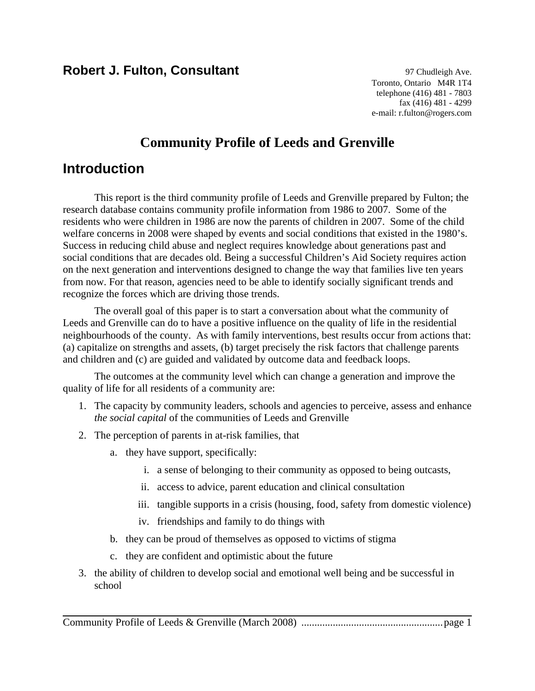# **Robert J. Fulton, Consultant Properties Ave.** 97 Chudleigh Ave.

Toronto, Ontario M4R 1T4 telephone (416) 481 - 7803 fax (416) 481 - 4299 e-mail: r.fulton@rogers.com

# **Community Profile of Leeds and Grenville**

# **Introduction**

This report is the third community profile of Leeds and Grenville prepared by Fulton; the research database contains community profile information from 1986 to 2007. Some of the residents who were children in 1986 are now the parents of children in 2007. Some of the child welfare concerns in 2008 were shaped by events and social conditions that existed in the 1980's. Success in reducing child abuse and neglect requires knowledge about generations past and social conditions that are decades old. Being a successful Children's Aid Society requires action on the next generation and interventions designed to change the way that families live ten years from now. For that reason, agencies need to be able to identify socially significant trends and recognize the forces which are driving those trends.

The overall goal of this paper is to start a conversation about what the community of Leeds and Grenville can do to have a positive influence on the quality of life in the residential neighbourhoods of the county. As with family interventions, best results occur from actions that: (a) capitalize on strengths and assets, (b) target precisely the risk factors that challenge parents and children and (c) are guided and validated by outcome data and feedback loops.

The outcomes at the community level which can change a generation and improve the quality of life for all residents of a community are:

- 1. The capacity by community leaders, schools and agencies to perceive, assess and enhance *the social capital* of the communities of Leeds and Grenville
- 2. The perception of parents in at-risk families, that
	- a. they have support, specifically:
		- i. a sense of belonging to their community as opposed to being outcasts,
		- ii. access to advice, parent education and clinical consultation
		- iii. tangible supports in a crisis (housing, food, safety from domestic violence)
		- iv. friendships and family to do things with
	- b. they can be proud of themselves as opposed to victims of stigma
	- c. they are confident and optimistic about the future
- 3. the ability of children to develop social and emotional well being and be successful in school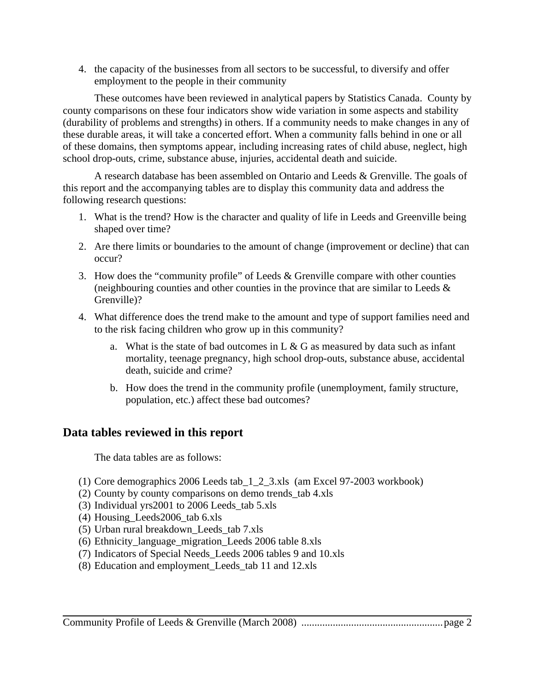4. the capacity of the businesses from all sectors to be successful, to diversify and offer employment to the people in their community

These outcomes have been reviewed in analytical papers by Statistics Canada. County by county comparisons on these four indicators show wide variation in some aspects and stability (durability of problems and strengths) in others. If a community needs to make changes in any of these durable areas, it will take a concerted effort. When a community falls behind in one or all of these domains, then symptoms appear, including increasing rates of child abuse, neglect, high school drop-outs, crime, substance abuse, injuries, accidental death and suicide.

A research database has been assembled on Ontario and Leeds & Grenville. The goals of this report and the accompanying tables are to display this community data and address the following research questions:

- 1. What is the trend? How is the character and quality of life in Leeds and Greenville being shaped over time?
- 2. Are there limits or boundaries to the amount of change (improvement or decline) that can occur?
- 3. How does the "community profile" of Leeds & Grenville compare with other counties (neighbouring counties and other counties in the province that are similar to Leeds & Grenville)?
- 4. What difference does the trend make to the amount and type of support families need and to the risk facing children who grow up in this community?
	- a. What is the state of bad outcomes in L  $\&$  G as measured by data such as infant mortality, teenage pregnancy, high school drop-outs, substance abuse, accidental death, suicide and crime?
	- b. How does the trend in the community profile (unemployment, family structure, population, etc.) affect these bad outcomes?

# **Data tables reviewed in this report**

The data tables are as follows:

- (1) Core demographics 2006 Leeds tab  $1\,2\,3.$ xls (am Excel 97-2003 workbook)
- (2) County by county comparisons on demo trends\_tab 4.xls
- (3) Individual yrs2001 to 2006 Leeds\_tab 5.xls
- (4) Housing\_Leeds2006\_tab 6.xls
- (5) Urban rural breakdown\_Leeds\_tab 7.xls
- (6) Ethnicity\_language\_migration\_Leeds 2006 table 8.xls
- (7) Indicators of Special Needs\_Leeds 2006 tables 9 and 10.xls
- (8) Education and employment\_Leeds\_tab 11 and 12.xls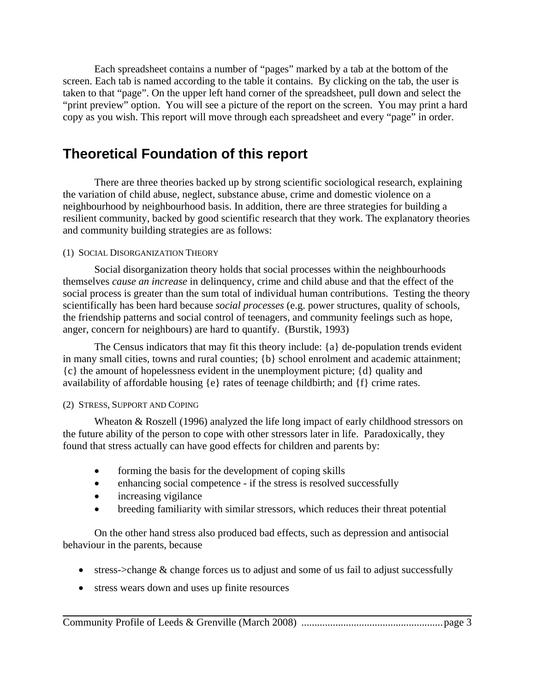Each spreadsheet contains a number of "pages" marked by a tab at the bottom of the screen. Each tab is named according to the table it contains. By clicking on the tab, the user is taken to that "page". On the upper left hand corner of the spreadsheet, pull down and select the "print preview" option. You will see a picture of the report on the screen. You may print a hard copy as you wish. This report will move through each spreadsheet and every "page" in order.

# **Theoretical Foundation of this report**

There are three theories backed up by strong scientific sociological research, explaining the variation of child abuse, neglect, substance abuse, crime and domestic violence on a neighbourhood by neighbourhood basis. In addition, there are three strategies for building a resilient community, backed by good scientific research that they work. The explanatory theories and community building strategies are as follows:

## (1) SOCIAL DISORGANIZATION THEORY

Social disorganization theory holds that social processes within the neighbourhoods themselves *cause an increase* in delinquency, crime and child abuse and that the effect of the social process is greater than the sum total of individual human contributions. Testing the theory scientifically has been hard because *social processes* (e.g. power structures, quality of schools, the friendship patterns and social control of teenagers, and community feelings such as hope, anger, concern for neighbours) are hard to quantify. (Burstik, 1993)

The Census indicators that may fit this theory include: {a} de-population trends evident in many small cities, towns and rural counties; {b} school enrolment and academic attainment; {c} the amount of hopelessness evident in the unemployment picture; {d} quality and availability of affordable housing {e} rates of teenage childbirth; and {f} crime rates.

### (2) STRESS, SUPPORT AND COPING

Wheaton & Roszell (1996) analyzed the life long impact of early childhood stressors on the future ability of the person to cope with other stressors later in life. Paradoxically, they found that stress actually can have good effects for children and parents by:

- forming the basis for the development of coping skills
- enhancing social competence if the stress is resolved successfully
- increasing vigilance
- breeding familiarity with similar stressors, which reduces their threat potential

On the other hand stress also produced bad effects, such as depression and antisocial behaviour in the parents, because

- stress->change & change forces us to adjust and some of us fail to adjust successfully
- stress wears down and uses up finite resources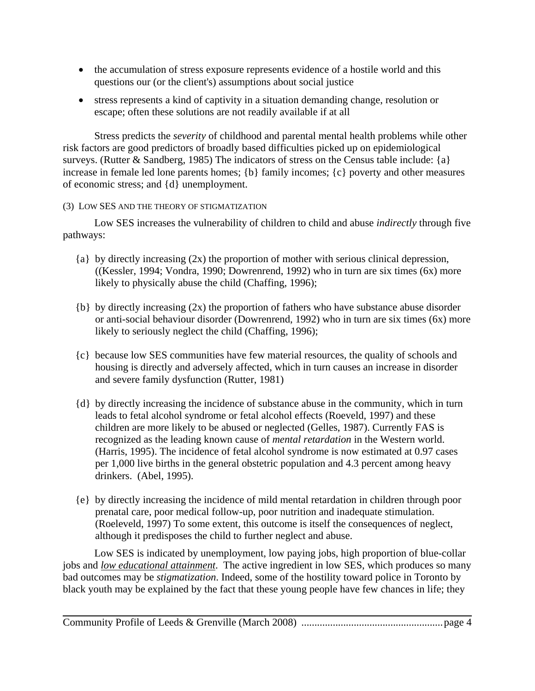- the accumulation of stress exposure represents evidence of a hostile world and this questions our (or the client's) assumptions about social justice
- stress represents a kind of captivity in a situation demanding change, resolution or escape; often these solutions are not readily available if at all

Stress predicts the *severity* of childhood and parental mental health problems while other risk factors are good predictors of broadly based difficulties picked up on epidemiological surveys. (Rutter & Sandberg, 1985) The indicators of stress on the Census table include:  $\{a\}$ increase in female led lone parents homes; {b} family incomes; {c} poverty and other measures of economic stress; and {d} unemployment.

## (3) LOW SES AND THE THEORY OF STIGMATIZATION

Low SES increases the vulnerability of children to child and abuse *indirectly* through five pathways:

- {a} by directly increasing (2x) the proportion of mother with serious clinical depression, ((Kessler, 1994; Vondra, 1990; Dowrenrend, 1992) who in turn are six times (6x) more likely to physically abuse the child (Chaffing, 1996);
- {b} by directly increasing (2x) the proportion of fathers who have substance abuse disorder or anti-social behaviour disorder (Dowrenrend, 1992) who in turn are six times (6x) more likely to seriously neglect the child (Chaffing, 1996);
- {c} because low SES communities have few material resources, the quality of schools and housing is directly and adversely affected, which in turn causes an increase in disorder and severe family dysfunction (Rutter, 1981)
- {d} by directly increasing the incidence of substance abuse in the community, which in turn leads to fetal alcohol syndrome or fetal alcohol effects (Roeveld, 1997) and these children are more likely to be abused or neglected (Gelles, 1987). Currently FAS is recognized as the leading known cause of *mental retardation* in the Western world. (Harris, 1995). The incidence of fetal alcohol syndrome is now estimated at 0.97 cases per 1,000 live births in the general obstetric population and 4.3 percent among heavy drinkers. (Abel, 1995).
- {e} by directly increasing the incidence of mild mental retardation in children through poor prenatal care, poor medical follow-up, poor nutrition and inadequate stimulation. (Roeleveld, 1997) To some extent, this outcome is itself the consequences of neglect, although it predisposes the child to further neglect and abuse.

Low SES is indicated by unemployment, low paying jobs, high proportion of blue-collar jobs and *low educational attainment*. The active ingredient in low SES, which produces so many bad outcomes may be *stigmatization*. Indeed, some of the hostility toward police in Toronto by black youth may be explained by the fact that these young people have few chances in life; they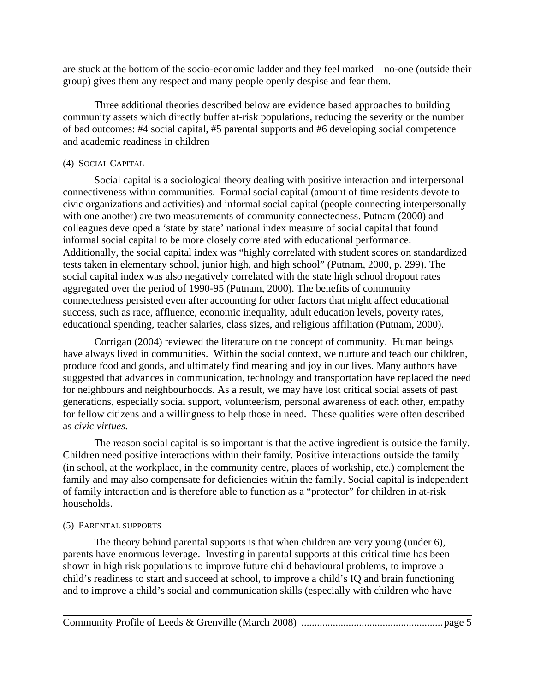are stuck at the bottom of the socio-economic ladder and they feel marked – no-one (outside their group) gives them any respect and many people openly despise and fear them.

Three additional theories described below are evidence based approaches to building community assets which directly buffer at-risk populations, reducing the severity or the number of bad outcomes: #4 social capital, #5 parental supports and #6 developing social competence and academic readiness in children

#### (4) SOCIAL CAPITAL

Social capital is a sociological theory dealing with positive interaction and interpersonal connectiveness within communities. Formal social capital (amount of time residents devote to civic organizations and activities) and informal social capital (people connecting interpersonally with one another) are two measurements of community connectedness. Putnam (2000) and colleagues developed a 'state by state' national index measure of social capital that found informal social capital to be more closely correlated with educational performance. Additionally, the social capital index was "highly correlated with student scores on standardized tests taken in elementary school, junior high, and high school" (Putnam, 2000, p. 299). The social capital index was also negatively correlated with the state high school dropout rates aggregated over the period of 1990-95 (Putnam, 2000). The benefits of community connectedness persisted even after accounting for other factors that might affect educational success, such as race, affluence, economic inequality, adult education levels, poverty rates, educational spending, teacher salaries, class sizes, and religious affiliation (Putnam, 2000).

Corrigan (2004) reviewed the literature on the concept of community. Human beings have always lived in communities. Within the social context, we nurture and teach our children, produce food and goods, and ultimately find meaning and joy in our lives. Many authors have suggested that advances in communication, technology and transportation have replaced the need for neighbours and neighbourhoods. As a result, we may have lost critical social assets of past generations, especially social support, volunteerism, personal awareness of each other, empathy for fellow citizens and a willingness to help those in need. These qualities were often described as *civic virtues*.

The reason social capital is so important is that the active ingredient is outside the family. Children need positive interactions within their family. Positive interactions outside the family (in school, at the workplace, in the community centre, places of workship, etc.) complement the family and may also compensate for deficiencies within the family. Social capital is independent of family interaction and is therefore able to function as a "protector" for children in at-risk households.

### (5) PARENTAL SUPPORTS

The theory behind parental supports is that when children are very young (under 6), parents have enormous leverage. Investing in parental supports at this critical time has been shown in high risk populations to improve future child behavioural problems, to improve a child's readiness to start and succeed at school, to improve a child's IQ and brain functioning and to improve a child's social and communication skills (especially with children who have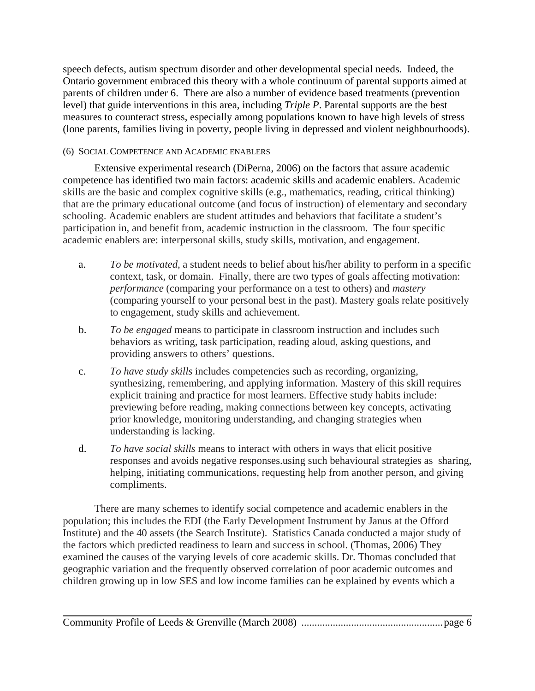speech defects, autism spectrum disorder and other developmental special needs. Indeed, the Ontario government embraced this theory with a whole continuum of parental supports aimed at parents of children under 6. There are also a number of evidence based treatments (prevention level) that guide interventions in this area, including *Triple P*. Parental supports are the best measures to counteract stress, especially among populations known to have high levels of stress (lone parents, families living in poverty, people living in depressed and violent neighbourhoods).

## (6) SOCIAL COMPETENCE AND ACADEMIC ENABLERS

Extensive experimental research (DiPerna, 2006) on the factors that assure academic competence has identified two main factors: academic skills and academic enablers. Academic skills are the basic and complex cognitive skills (e.g., mathematics, reading, critical thinking) that are the primary educational outcome (and focus of instruction) of elementary and secondary schooling. Academic enablers are student attitudes and behaviors that facilitate a student's participation in, and benefit from, academic instruction in the classroom. The four specific academic enablers are: interpersonal skills, study skills, motivation, and engagement.

- a. *To be motivated*, a student needs to belief about his/her ability to perform in a specific context, task, or domain. Finally, there are two types of goals affecting motivation: *performance* (comparing your performance on a test to others) and *mastery*  (comparing yourself to your personal best in the past). Mastery goals relate positively to engagement, study skills and achievement.
- b. *To be engaged* means to participate in classroom instruction and includes such behaviors as writing, task participation, reading aloud, asking questions, and providing answers to others' questions.
- c. *To have study skills* includes competencies such as recording, organizing, synthesizing, remembering, and applying information. Mastery of this skill requires explicit training and practice for most learners. Effective study habits include: previewing before reading, making connections between key concepts, activating prior knowledge, monitoring understanding, and changing strategies when understanding is lacking.
- d. *To have social skills* means to interact with others in ways that elicit positive responses and avoids negative responses.using such behavioural strategies as sharing, helping, initiating communications, requesting help from another person, and giving compliments.

There are many schemes to identify social competence and academic enablers in the population; this includes the EDI (the Early Development Instrument by Janus at the Offord Institute) and the 40 assets (the Search Institute). Statistics Canada conducted a major study of the factors which predicted readiness to learn and success in school. (Thomas, 2006) They examined the causes of the varying levels of core academic skills. Dr. Thomas concluded that geographic variation and the frequently observed correlation of poor academic outcomes and children growing up in low SES and low income families can be explained by events which a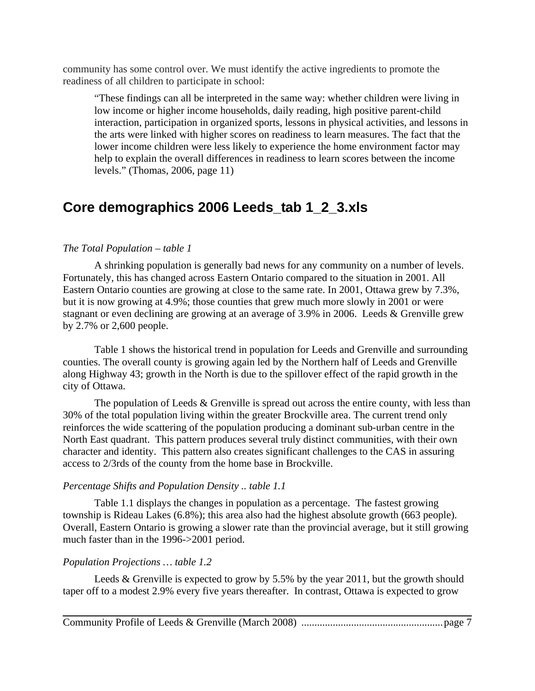community has some control over. We must identify the active ingredients to promote the readiness of all children to participate in school:

"These findings can all be interpreted in the same way: whether children were living in low income or higher income households, daily reading, high positive parent-child interaction, participation in organized sports, lessons in physical activities, and lessons in the arts were linked with higher scores on readiness to learn measures. The fact that the lower income children were less likely to experience the home environment factor may help to explain the overall differences in readiness to learn scores between the income levels." (Thomas, 2006, page 11)

# **Core demographics 2006 Leeds\_tab 1\_2\_3.xls**

#### *The Total Population – table 1*

A shrinking population is generally bad news for any community on a number of levels. Fortunately, this has changed across Eastern Ontario compared to the situation in 2001. All Eastern Ontario counties are growing at close to the same rate. In 2001, Ottawa grew by 7.3%, but it is now growing at 4.9%; those counties that grew much more slowly in 2001 or were stagnant or even declining are growing at an average of 3.9% in 2006. Leeds & Grenville grew by 2.7% or 2,600 people.

Table 1 shows the historical trend in population for Leeds and Grenville and surrounding counties. The overall county is growing again led by the Northern half of Leeds and Grenville along Highway 43; growth in the North is due to the spillover effect of the rapid growth in the city of Ottawa.

The population of Leeds & Grenville is spread out across the entire county, with less than 30% of the total population living within the greater Brockville area. The current trend only reinforces the wide scattering of the population producing a dominant sub-urban centre in the North East quadrant. This pattern produces several truly distinct communities, with their own character and identity. This pattern also creates significant challenges to the CAS in assuring access to 2/3rds of the county from the home base in Brockville.

#### *Percentage Shifts and Population Density .. table 1.1*

Table 1.1 displays the changes in population as a percentage. The fastest growing township is Rideau Lakes (6.8%); this area also had the highest absolute growth (663 people). Overall, Eastern Ontario is growing a slower rate than the provincial average, but it still growing much faster than in the 1996->2001 period.

### *Population Projections … table 1.2*

Leeds & Grenville is expected to grow by 5.5% by the year 2011, but the growth should taper off to a modest 2.9% every five years thereafter. In contrast, Ottawa is expected to grow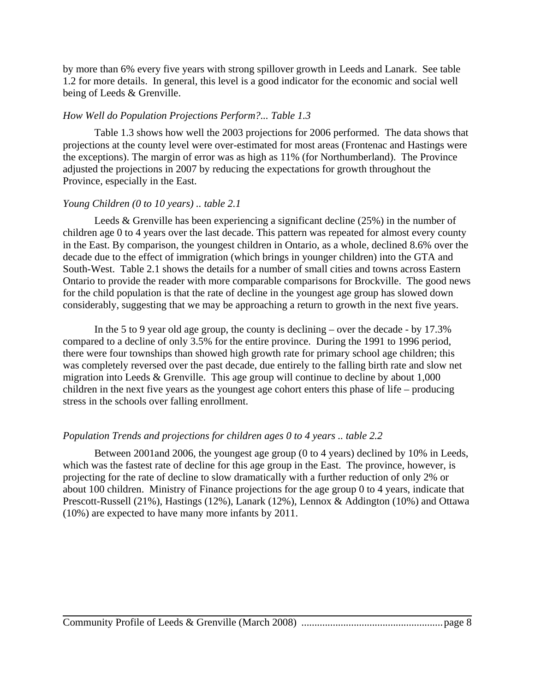by more than 6% every five years with strong spillover growth in Leeds and Lanark. See table 1.2 for more details. In general, this level is a good indicator for the economic and social well being of Leeds & Grenville.

#### *How Well do Population Projections Perform?... Table 1.3*

Table 1.3 shows how well the 2003 projections for 2006 performed. The data shows that projections at the county level were over-estimated for most areas (Frontenac and Hastings were the exceptions). The margin of error was as high as 11% (for Northumberland). The Province adjusted the projections in 2007 by reducing the expectations for growth throughout the Province, especially in the East.

#### *Young Children (0 to 10 years) .. table 2.1*

Leeds & Grenville has been experiencing a significant decline (25%) in the number of children age 0 to 4 years over the last decade. This pattern was repeated for almost every county in the East. By comparison, the youngest children in Ontario, as a whole, declined 8.6% over the decade due to the effect of immigration (which brings in younger children) into the GTA and South-West. Table 2.1 shows the details for a number of small cities and towns across Eastern Ontario to provide the reader with more comparable comparisons for Brockville. The good news for the child population is that the rate of decline in the youngest age group has slowed down considerably, suggesting that we may be approaching a return to growth in the next five years.

In the 5 to 9 year old age group, the county is declining – over the decade - by 17.3% compared to a decline of only 3.5% for the entire province. During the 1991 to 1996 period, there were four townships than showed high growth rate for primary school age children; this was completely reversed over the past decade, due entirely to the falling birth rate and slow net migration into Leeds & Grenville. This age group will continue to decline by about 1,000 children in the next five years as the youngest age cohort enters this phase of life – producing stress in the schools over falling enrollment.

#### *Population Trends and projections for children ages 0 to 4 years .. table 2.2*

Between 2001and 2006, the youngest age group (0 to 4 years) declined by 10% in Leeds, which was the fastest rate of decline for this age group in the East. The province, however, is projecting for the rate of decline to slow dramatically with a further reduction of only 2% or about 100 children. Ministry of Finance projections for the age group 0 to 4 years, indicate that Prescott-Russell (21%), Hastings (12%), Lanark (12%), Lennox & Addington (10%) and Ottawa (10%) are expected to have many more infants by 2011.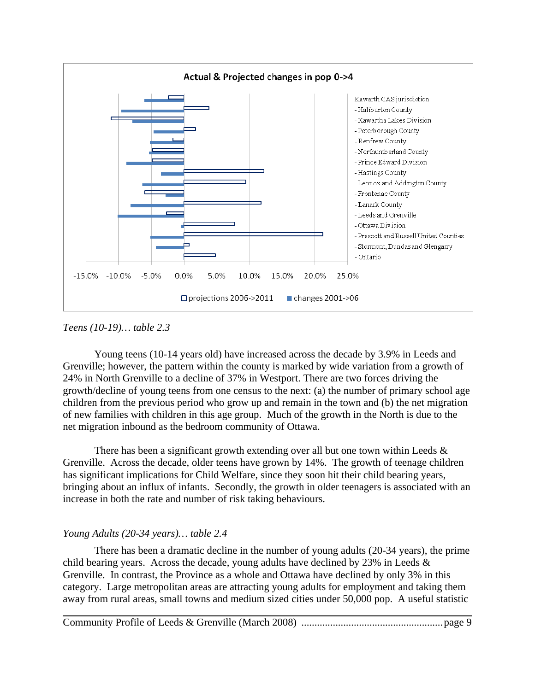

*Teens (10-19)… table 2.3* 

Young teens (10-14 years old) have increased across the decade by 3.9% in Leeds and Grenville; however, the pattern within the county is marked by wide variation from a growth of 24% in North Grenville to a decline of 37% in Westport. There are two forces driving the growth/decline of young teens from one census to the next: (a) the number of primary school age children from the previous period who grow up and remain in the town and (b) the net migration of new families with children in this age group. Much of the growth in the North is due to the net migration inbound as the bedroom community of Ottawa.

There has been a significant growth extending over all but one town within Leeds  $\&$ Grenville. Across the decade, older teens have grown by 14%. The growth of teenage children has significant implications for Child Welfare, since they soon hit their child bearing years, bringing about an influx of infants. Secondly, the growth in older teenagers is associated with an increase in both the rate and number of risk taking behaviours.

# *Young Adults (20-34 years)… table 2.4*

There has been a dramatic decline in the number of young adults (20-34 years), the prime child bearing years. Across the decade, young adults have declined by 23% in Leeds  $\&$ Grenville. In contrast, the Province as a whole and Ottawa have declined by only 3% in this category. Large metropolitan areas are attracting young adults for employment and taking them away from rural areas, small towns and medium sized cities under 50,000 pop. A useful statistic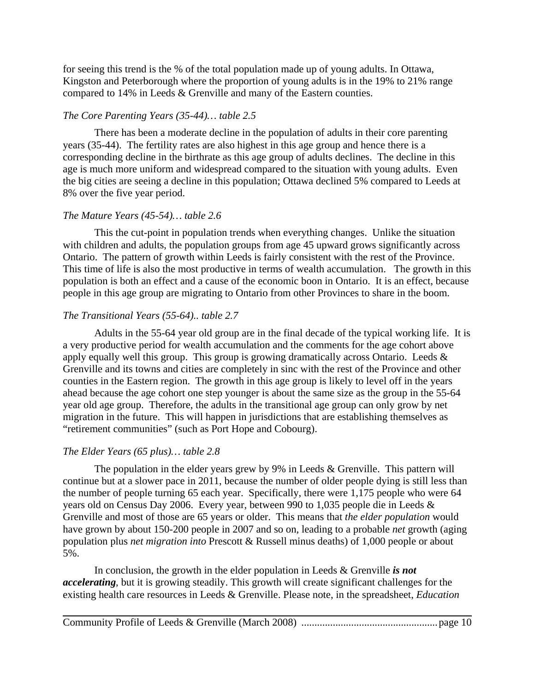for seeing this trend is the % of the total population made up of young adults. In Ottawa, Kingston and Peterborough where the proportion of young adults is in the 19% to 21% range compared to 14% in Leeds & Grenville and many of the Eastern counties.

### *The Core Parenting Years (35-44)… table 2.5*

There has been a moderate decline in the population of adults in their core parenting years (35-44). The fertility rates are also highest in this age group and hence there is a corresponding decline in the birthrate as this age group of adults declines. The decline in this age is much more uniform and widespread compared to the situation with young adults. Even the big cities are seeing a decline in this population; Ottawa declined 5% compared to Leeds at 8% over the five year period.

#### *The Mature Years (45-54)… table 2.6*

This the cut-point in population trends when everything changes. Unlike the situation with children and adults, the population groups from age 45 upward grows significantly across Ontario. The pattern of growth within Leeds is fairly consistent with the rest of the Province. This time of life is also the most productive in terms of wealth accumulation. The growth in this population is both an effect and a cause of the economic boon in Ontario. It is an effect, because people in this age group are migrating to Ontario from other Provinces to share in the boom.

#### *The Transitional Years (55-64).. table 2.7*

Adults in the 55-64 year old group are in the final decade of the typical working life. It is a very productive period for wealth accumulation and the comments for the age cohort above apply equally well this group. This group is growing dramatically across Ontario. Leeds & Grenville and its towns and cities are completely in sinc with the rest of the Province and other counties in the Eastern region. The growth in this age group is likely to level off in the years ahead because the age cohort one step younger is about the same size as the group in the 55-64 year old age group. Therefore, the adults in the transitional age group can only grow by net migration in the future. This will happen in jurisdictions that are establishing themselves as "retirement communities" (such as Port Hope and Cobourg).

#### *The Elder Years (65 plus)… table 2.8*

The population in the elder years grew by  $9\%$  in Leeds & Grenville. This pattern will continue but at a slower pace in 2011, because the number of older people dying is still less than the number of people turning 65 each year. Specifically, there were 1,175 people who were 64 years old on Census Day 2006. Every year, between 990 to 1,035 people die in Leeds & Grenville and most of those are 65 years or older. This means that *the elder population* would have grown by about 150-200 people in 2007 and so on, leading to a probable *net* growth (aging population plus *net migration into* Prescott & Russell minus deaths) of 1,000 people or about 5%.

In conclusion, the growth in the elder population in Leeds & Grenville *is not accelerating*, but it is growing steadily. This growth will create significant challenges for the existing health care resources in Leeds & Grenville. Please note, in the spreadsheet, *Education*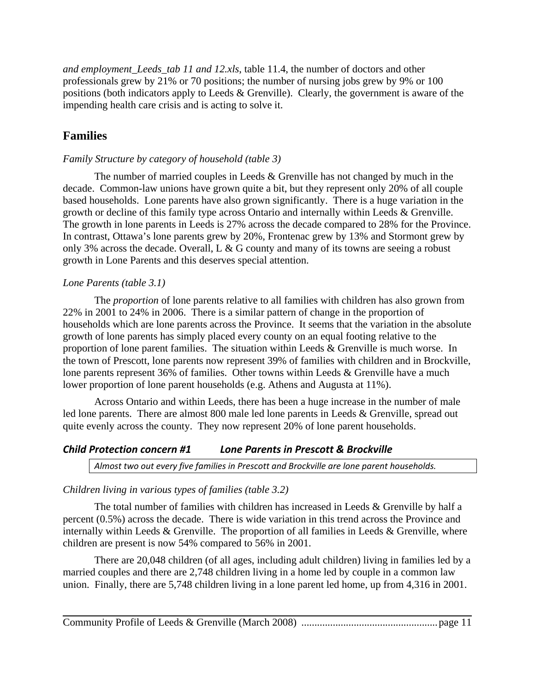*and employment\_Leeds\_tab 11 and 12.xls*, table 11.4, the number of doctors and other professionals grew by 21% or 70 positions; the number of nursing jobs grew by 9% or 100 positions (both indicators apply to Leeds & Grenville). Clearly, the government is aware of the impending health care crisis and is acting to solve it.

# **Families**

## *Family Structure by category of household (table 3)*

The number of married couples in Leeds  $&$  Grenville has not changed by much in the decade. Common-law unions have grown quite a bit, but they represent only 20% of all couple based households. Lone parents have also grown significantly. There is a huge variation in the growth or decline of this family type across Ontario and internally within Leeds & Grenville. The growth in lone parents in Leeds is 27% across the decade compared to 28% for the Province. In contrast, Ottawa's lone parents grew by 20%, Frontenac grew by 13% and Stormont grew by only 3% across the decade. Overall, L & G county and many of its towns are seeing a robust growth in Lone Parents and this deserves special attention.

## *Lone Parents (table 3.1)*

The *proportion* of lone parents relative to all families with children has also grown from 22% in 2001 to 24% in 2006. There is a similar pattern of change in the proportion of households which are lone parents across the Province. It seems that the variation in the absolute growth of lone parents has simply placed every county on an equal footing relative to the proportion of lone parent families. The situation within Leeds & Grenville is much worse. In the town of Prescott, lone parents now represent 39% of families with children and in Brockville, lone parents represent 36% of families. Other towns within Leeds & Grenville have a much lower proportion of lone parent households (e.g. Athens and Augusta at 11%).

Across Ontario and within Leeds, there has been a huge increase in the number of male led lone parents. There are almost 800 male led lone parents in Leeds & Grenville, spread out quite evenly across the county. They now represent 20% of lone parent households.

# *Child Protection concern #1 Lone Parents in Prescott & Brockville*

*Almost two out every five families in Prescott and Brockville are lone parent households.*

### *Children living in various types of families (table 3.2)*

The total number of families with children has increased in Leeds & Grenville by half a percent (0.5%) across the decade. There is wide variation in this trend across the Province and internally within Leeds & Grenville. The proportion of all families in Leeds & Grenville, where children are present is now 54% compared to 56% in 2001.

There are 20,048 children (of all ages, including adult children) living in families led by a married couples and there are 2,748 children living in a home led by couple in a common law union. Finally, there are 5,748 children living in a lone parent led home, up from 4,316 in 2001.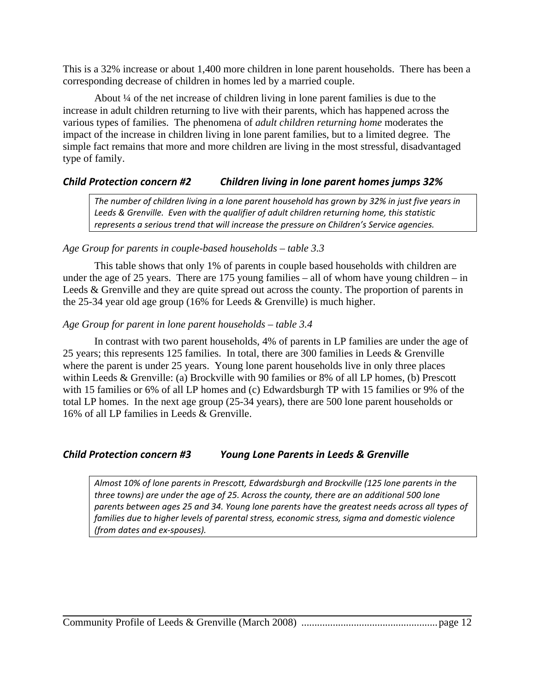This is a 32% increase or about 1,400 more children in lone parent households. There has been a corresponding decrease of children in homes led by a married couple.

About ¼ of the net increase of children living in lone parent families is due to the increase in adult children returning to live with their parents, which has happened across the various types of families. The phenomena of *adult children returning home* moderates the impact of the increase in children living in lone parent families, but to a limited degree. The simple fact remains that more and more children are living in the most stressful, disadvantaged type of family.

# *Child Protection concern #2 Children living in lone parent homes jumps 32%*

The number of children living in a lone parent household has grown by 32% in just five years in *Leeds & Grenville. Even with the qualifier of adult children returning home, this statistic represents a serious trend that will increase the pressure on Children's Service agencies.*

## *Age Group for parents in couple-based households – table 3.3*

This table shows that only 1% of parents in couple based households with children are under the age of 25 years. There are 175 young families – all of whom have young children – in Leeds & Grenville and they are quite spread out across the county. The proportion of parents in the 25-34 year old age group (16% for Leeds & Grenville) is much higher.

## *Age Group for parent in lone parent households – table 3.4*

In contrast with two parent households, 4% of parents in LP families are under the age of 25 years; this represents 125 families. In total, there are 300 families in Leeds & Grenville where the parent is under 25 years. Young lone parent households live in only three places within Leeds & Grenville: (a) Brockville with 90 families or 8% of all LP homes, (b) Prescott with 15 families or 6% of all LP homes and (c) Edwardsburgh TP with 15 families or 9% of the total LP homes. In the next age group (25-34 years), there are 500 lone parent households or 16% of all LP families in Leeds & Grenville.

# *Child Protection concern #3 Young Lone Parents in Leeds & Grenville*

*Almost 10% of lone parents in Prescott, Edwardsburgh and Brockville (125 lone parents in the three towns) are under the age of 25. Across the county, there are an additional 500 lone parents between ages 25 and 34. Young lone parents have the greatest needs across all types of families due to higher levels of parental stress, economic stress, sigma and domestic violence (from dates and ex‐spouses).*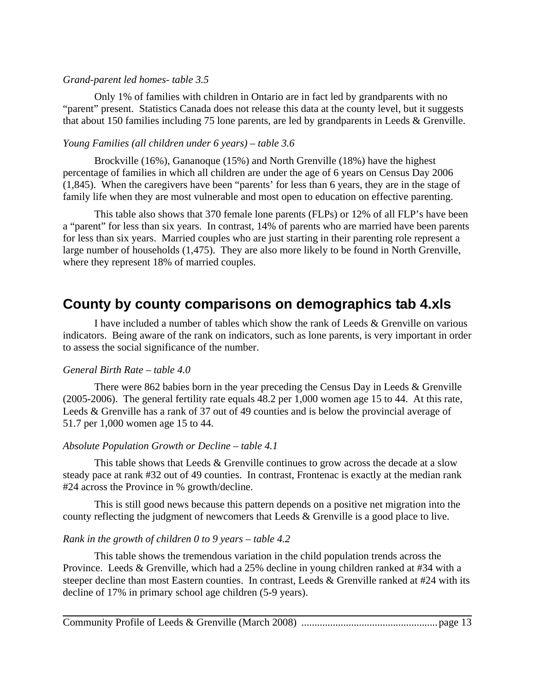#### *Grand-parent led homes- table 3.5*

Only 1% of families with children in Ontario are in fact led by grandparents with no "parent" present. Statistics Canada does not release this data at the county level, but it suggests that about 150 families including 75 lone parents, are led by grandparents in Leeds & Grenville.

#### *Young Families (all children under 6 years) – table 3.6*

Brockville (16%), Gananoque (15%) and North Grenville (18%) have the highest percentage of families in which all children are under the age of 6 years on Census Day 2006 (1,845). When the caregivers have been "parents' for less than 6 years, they are in the stage of family life when they are most vulnerable and most open to education on effective parenting.

This table also shows that 370 female lone parents (FLPs) or 12% of all FLP's have been a "parent" for less than six years. In contrast, 14% of parents who are married have been parents for less than six years. Married couples who are just starting in their parenting role represent a large number of households (1,475). They are also more likely to be found in North Grenville, where they represent 18% of married couples.

# **County by county comparisons on demographics tab 4.xls**

I have included a number of tables which show the rank of Leeds & Grenville on various indicators. Being aware of the rank on indicators, such as lone parents, is very important in order to assess the social significance of the number.

#### *General Birth Rate – table 4.0*

There were 862 babies born in the year preceding the Census Day in Leeds & Grenville (2005-2006). The general fertility rate equals 48.2 per 1,000 women age 15 to 44. At this rate, Leeds & Grenville has a rank of 37 out of 49 counties and is below the provincial average of 51.7 per 1,000 women age 15 to 44.

#### *Absolute Population Growth or Decline – table 4.1*

This table shows that Leeds & Grenville continues to grow across the decade at a slow steady pace at rank #32 out of 49 counties. In contrast, Frontenac is exactly at the median rank #24 across the Province in % growth/decline.

This is still good news because this pattern depends on a positive net migration into the county reflecting the judgment of newcomers that Leeds & Grenville is a good place to live.

#### *Rank in the growth of children 0 to 9 years – table 4.2*

This table shows the tremendous variation in the child population trends across the Province. Leeds & Grenville, which had a 25% decline in young children ranked at #34 with a steeper decline than most Eastern counties. In contrast, Leeds & Grenville ranked at #24 with its decline of 17% in primary school age children (5-9 years).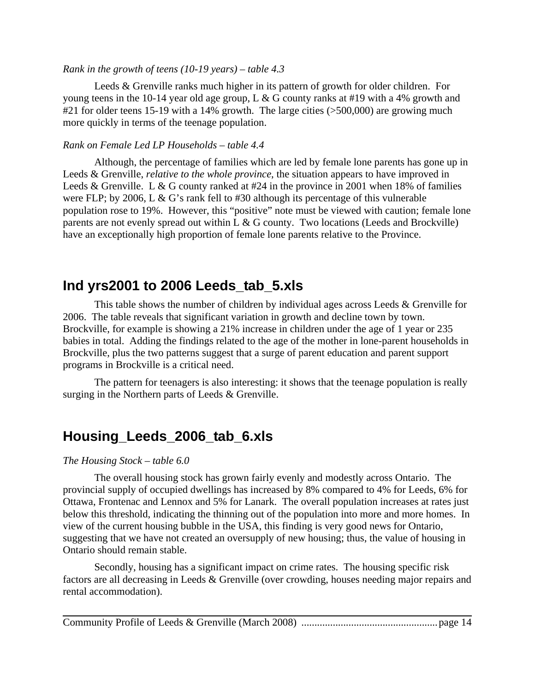#### *Rank in the growth of teens (10-19 years) – table 4.3*

Leeds & Grenville ranks much higher in its pattern of growth for older children. For young teens in the 10-14 year old age group, L & G county ranks at #19 with a 4% growth and #21 for older teens 15-19 with a 14% growth. The large cities (>500,000) are growing much more quickly in terms of the teenage population.

#### *Rank on Female Led LP Households – table 4.4*

Although, the percentage of families which are led by female lone parents has gone up in Leeds & Grenville, *relative to the whole province*, the situation appears to have improved in Leeds & Grenville. L & G county ranked at  $#24$  in the province in 2001 when 18% of families were FLP; by 2006, L & G's rank fell to #30 although its percentage of this vulnerable population rose to 19%. However, this "positive" note must be viewed with caution; female lone parents are not evenly spread out within  $L \& G$  county. Two locations (Leeds and Brockville) have an exceptionally high proportion of female lone parents relative to the Province.

# **Ind yrs2001 to 2006 Leeds\_tab\_5.xls**

This table shows the number of children by individual ages across Leeds & Grenville for 2006. The table reveals that significant variation in growth and decline town by town. Brockville, for example is showing a 21% increase in children under the age of 1 year or 235 babies in total. Adding the findings related to the age of the mother in lone-parent households in Brockville, plus the two patterns suggest that a surge of parent education and parent support programs in Brockville is a critical need.

The pattern for teenagers is also interesting: it shows that the teenage population is really surging in the Northern parts of Leeds & Grenville.

# **Housing\_Leeds\_2006\_tab\_6.xls**

#### *The Housing Stock – table 6.0*

The overall housing stock has grown fairly evenly and modestly across Ontario. The provincial supply of occupied dwellings has increased by 8% compared to 4% for Leeds, 6% for Ottawa, Frontenac and Lennox and 5% for Lanark. The overall population increases at rates just below this threshold, indicating the thinning out of the population into more and more homes. In view of the current housing bubble in the USA, this finding is very good news for Ontario, suggesting that we have not created an oversupply of new housing; thus, the value of housing in Ontario should remain stable.

Secondly, housing has a significant impact on crime rates. The housing specific risk factors are all decreasing in Leeds & Grenville (over crowding, houses needing major repairs and rental accommodation).

|--|--|--|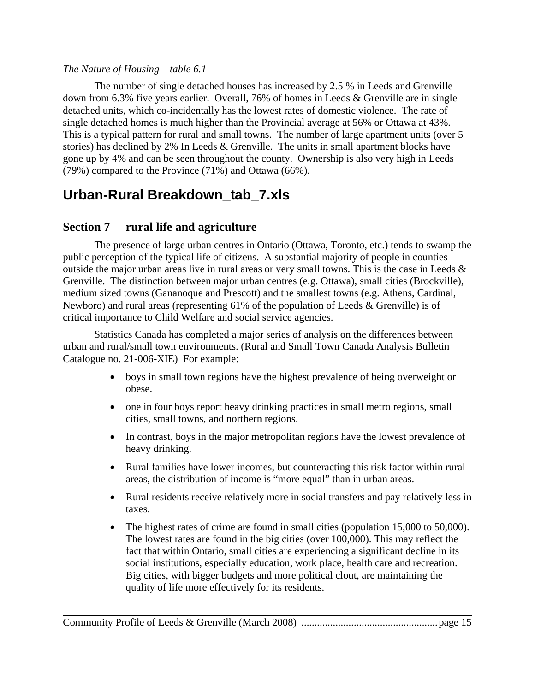## *The Nature of Housing – table 6.1*

The number of single detached houses has increased by 2.5 % in Leeds and Grenville down from 6.3% five years earlier. Overall, 76% of homes in Leeds & Grenville are in single detached units, which co-incidentally has the lowest rates of domestic violence. The rate of single detached homes is much higher than the Provincial average at 56% or Ottawa at 43%. This is a typical pattern for rural and small towns. The number of large apartment units (over 5 stories) has declined by 2% In Leeds & Grenville. The units in small apartment blocks have gone up by 4% and can be seen throughout the county. Ownership is also very high in Leeds (79%) compared to the Province (71%) and Ottawa (66%).

# **Urban-Rural Breakdown\_tab\_7.xls**

# **Section 7 rural life and agriculture**

The presence of large urban centres in Ontario (Ottawa, Toronto, etc.) tends to swamp the public perception of the typical life of citizens. A substantial majority of people in counties outside the major urban areas live in rural areas or very small towns. This is the case in Leeds & Grenville. The distinction between major urban centres (e.g. Ottawa), small cities (Brockville), medium sized towns (Gananoque and Prescott) and the smallest towns (e.g. Athens, Cardinal, Newboro) and rural areas (representing 61% of the population of Leeds & Grenville) is of critical importance to Child Welfare and social service agencies.

Statistics Canada has completed a major series of analysis on the differences between urban and rural/small town environments. (Rural and Small Town Canada Analysis Bulletin Catalogue no. 21-006-XIE) For example:

- boys in small town regions have the highest prevalence of being overweight or obese.
- one in four boys report heavy drinking practices in small metro regions, small cities, small towns, and northern regions.
- In contrast, boys in the major metropolitan regions have the lowest prevalence of heavy drinking.
- Rural families have lower incomes, but counteracting this risk factor within rural areas, the distribution of income is "more equal" than in urban areas.
- Rural residents receive relatively more in social transfers and pay relatively less in taxes.
- The highest rates of crime are found in small cities (population 15,000 to 50,000). The lowest rates are found in the big cities (over 100,000). This may reflect the fact that within Ontario, small cities are experiencing a significant decline in its social institutions, especially education, work place, health care and recreation. Big cities, with bigger budgets and more political clout, are maintaining the quality of life more effectively for its residents.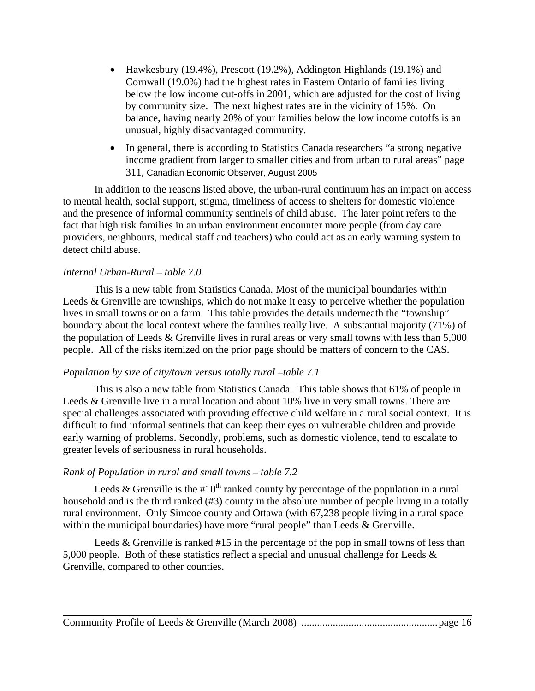- Hawkesbury (19.4%), Prescott (19.2%), Addington Highlands (19.1%) and Cornwall (19.0%) had the highest rates in Eastern Ontario of families living below the low income cut-offs in 2001, which are adjusted for the cost of living by community size. The next highest rates are in the vicinity of 15%. On balance, having nearly 20% of your families below the low income cutoffs is an unusual, highly disadvantaged community.
- In general, there is according to Statistics Canada researchers "a strong negative income gradient from larger to smaller cities and from urban to rural areas" page 311, Canadian Economic Observer, August 2005

In addition to the reasons listed above, the urban-rural continuum has an impact on access to mental health, social support, stigma, timeliness of access to shelters for domestic violence and the presence of informal community sentinels of child abuse. The later point refers to the fact that high risk families in an urban environment encounter more people (from day care providers, neighbours, medical staff and teachers) who could act as an early warning system to detect child abuse.

### *Internal Urban-Rural – table 7.0*

This is a new table from Statistics Canada. Most of the municipal boundaries within Leeds & Grenville are townships, which do not make it easy to perceive whether the population lives in small towns or on a farm. This table provides the details underneath the "township" boundary about the local context where the families really live. A substantial majority (71%) of the population of Leeds  $&$  Grenville lives in rural areas or very small towns with less than 5,000 people. All of the risks itemized on the prior page should be matters of concern to the CAS.

#### *Population by size of city/town versus totally rural –table 7.1*

This is also a new table from Statistics Canada. This table shows that 61% of people in Leeds & Grenville live in a rural location and about 10% live in very small towns. There are special challenges associated with providing effective child welfare in a rural social context. It is difficult to find informal sentinels that can keep their eyes on vulnerable children and provide early warning of problems. Secondly, problems, such as domestic violence, tend to escalate to greater levels of seriousness in rural households.

#### *Rank of Population in rural and small towns – table 7.2*

Leeds & Grenville is the  $#10<sup>th</sup>$  ranked county by percentage of the population in a rural household and is the third ranked (#3) county in the absolute number of people living in a totally rural environment. Only Simcoe county and Ottawa (with 67,238 people living in a rural space within the municipal boundaries) have more "rural people" than Leeds & Grenville.

Leeds & Grenville is ranked #15 in the percentage of the pop in small towns of less than 5,000 people. Both of these statistics reflect a special and unusual challenge for Leeds & Grenville, compared to other counties.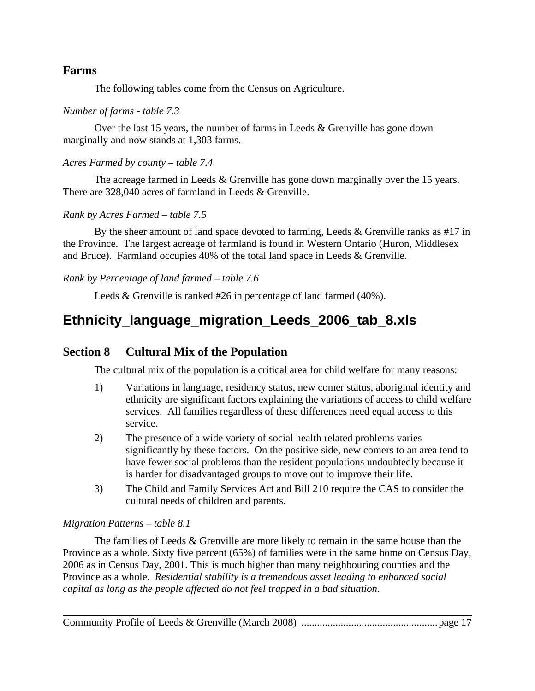# **Farms**

The following tables come from the Census on Agriculture.

# *Number of farms - table 7.3*

Over the last 15 years, the number of farms in Leeds & Grenville has gone down marginally and now stands at 1,303 farms.

# *Acres Farmed by county – table 7.4*

The acreage farmed in Leeds & Grenville has gone down marginally over the 15 years. There are 328,040 acres of farmland in Leeds & Grenville.

# *Rank by Acres Farmed – table 7.5*

By the sheer amount of land space devoted to farming, Leeds & Grenville ranks as #17 in the Province. The largest acreage of farmland is found in Western Ontario (Huron, Middlesex and Bruce). Farmland occupies 40% of the total land space in Leeds & Grenville.

# *Rank by Percentage of land farmed – table 7.6*

Leeds & Grenville is ranked #26 in percentage of land farmed (40%).

# **Ethnicity\_language\_migration\_Leeds\_2006\_tab\_8.xls**

# **Section 8 Cultural Mix of the Population**

The cultural mix of the population is a critical area for child welfare for many reasons:

- 1) Variations in language, residency status, new comer status, aboriginal identity and ethnicity are significant factors explaining the variations of access to child welfare services. All families regardless of these differences need equal access to this service.
- 2) The presence of a wide variety of social health related problems varies significantly by these factors. On the positive side, new comers to an area tend to have fewer social problems than the resident populations undoubtedly because it is harder for disadvantaged groups to move out to improve their life.
- 3) The Child and Family Services Act and Bill 210 require the CAS to consider the cultural needs of children and parents.

# *Migration Patterns – table 8.1*

The families of Leeds & Grenville are more likely to remain in the same house than the Province as a whole. Sixty five percent (65%) of families were in the same home on Census Day, 2006 as in Census Day, 2001. This is much higher than many neighbouring counties and the Province as a whole. *Residential stability is a tremendous asset leading to enhanced social capital as long as the people affected do not feel trapped in a bad situation*.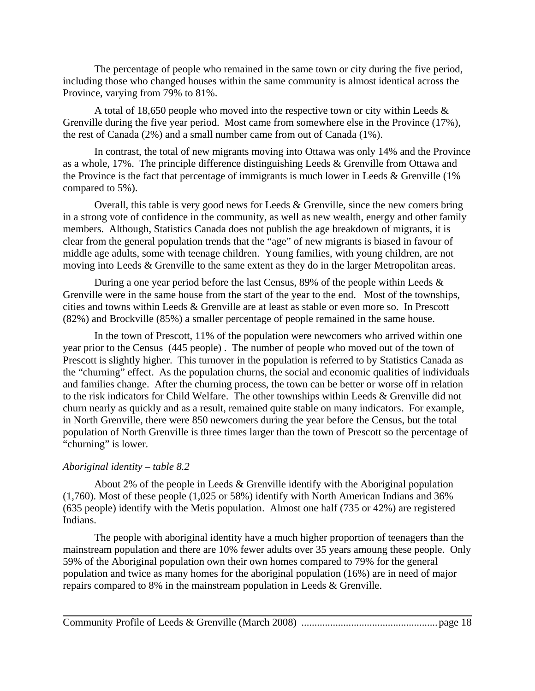The percentage of people who remained in the same town or city during the five period, including those who changed houses within the same community is almost identical across the Province, varying from 79% to 81%.

A total of 18,650 people who moved into the respective town or city within Leeds  $\&$ Grenville during the five year period. Most came from somewhere else in the Province (17%), the rest of Canada (2%) and a small number came from out of Canada (1%).

In contrast, the total of new migrants moving into Ottawa was only 14% and the Province as a whole, 17%. The principle difference distinguishing Leeds & Grenville from Ottawa and the Province is the fact that percentage of immigrants is much lower in Leeds & Grenville (1% compared to 5%).

Overall, this table is very good news for Leeds & Grenville, since the new comers bring in a strong vote of confidence in the community, as well as new wealth, energy and other family members. Although, Statistics Canada does not publish the age breakdown of migrants, it is clear from the general population trends that the "age" of new migrants is biased in favour of middle age adults, some with teenage children. Young families, with young children, are not moving into Leeds & Grenville to the same extent as they do in the larger Metropolitan areas.

During a one year period before the last Census, 89% of the people within Leeds  $\&$ Grenville were in the same house from the start of the year to the end. Most of the townships, cities and towns within Leeds & Grenville are at least as stable or even more so. In Prescott (82%) and Brockville (85%) a smaller percentage of people remained in the same house.

In the town of Prescott, 11% of the population were newcomers who arrived within one year prior to the Census (445 people) . The number of people who moved out of the town of Prescott is slightly higher. This turnover in the population is referred to by Statistics Canada as the "churning" effect. As the population churns, the social and economic qualities of individuals and families change. After the churning process, the town can be better or worse off in relation to the risk indicators for Child Welfare. The other townships within Leeds & Grenville did not churn nearly as quickly and as a result, remained quite stable on many indicators. For example, in North Grenville, there were 850 newcomers during the year before the Census, but the total population of North Grenville is three times larger than the town of Prescott so the percentage of "churning" is lower.

#### *Aboriginal identity – table 8.2*

About 2% of the people in Leeds & Grenville identify with the Aboriginal population (1,760). Most of these people (1,025 or 58%) identify with North American Indians and 36% (635 people) identify with the Metis population. Almost one half (735 or 42%) are registered Indians.

The people with aboriginal identity have a much higher proportion of teenagers than the mainstream population and there are 10% fewer adults over 35 years amoung these people. Only 59% of the Aboriginal population own their own homes compared to 79% for the general population and twice as many homes for the aboriginal population (16%) are in need of major repairs compared to 8% in the mainstream population in Leeds & Grenville.

Community Profile of Leeds & Grenville (March 2008) ....................................................page 18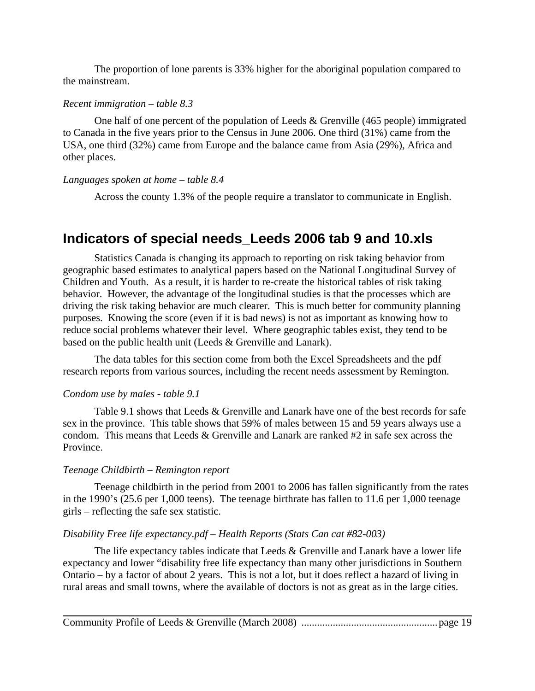The proportion of lone parents is 33% higher for the aboriginal population compared to the mainstream.

#### *Recent immigration – table 8.3*

One half of one percent of the population of Leeds & Grenville (465 people) immigrated to Canada in the five years prior to the Census in June 2006. One third (31%) came from the USA, one third (32%) came from Europe and the balance came from Asia (29%), Africa and other places.

#### *Languages spoken at home – table 8.4*

Across the county 1.3% of the people require a translator to communicate in English.

# **Indicators of special needs\_Leeds 2006 tab 9 and 10.xls**

Statistics Canada is changing its approach to reporting on risk taking behavior from geographic based estimates to analytical papers based on the National Longitudinal Survey of Children and Youth. As a result, it is harder to re-create the historical tables of risk taking behavior. However, the advantage of the longitudinal studies is that the processes which are driving the risk taking behavior are much clearer. This is much better for community planning purposes. Knowing the score (even if it is bad news) is not as important as knowing how to reduce social problems whatever their level. Where geographic tables exist, they tend to be based on the public health unit (Leeds & Grenville and Lanark).

The data tables for this section come from both the Excel Spreadsheets and the pdf research reports from various sources, including the recent needs assessment by Remington.

#### *Condom use by males - table 9.1*

Table 9.1 shows that Leeds & Grenville and Lanark have one of the best records for safe sex in the province. This table shows that 59% of males between 15 and 59 years always use a condom. This means that Leeds & Grenville and Lanark are ranked  $#2$  in safe sex across the Province.

#### *Teenage Childbirth – Remington report*

Teenage childbirth in the period from 2001 to 2006 has fallen significantly from the rates in the 1990's (25.6 per 1,000 teens). The teenage birthrate has fallen to 11.6 per 1,000 teenage girls – reflecting the safe sex statistic.

#### *Disability Free life expectancy.pdf – Health Reports (Stats Can cat #82-003)*

The life expectancy tables indicate that Leeds  $&$  Grenville and Lanark have a lower life expectancy and lower "disability free life expectancy than many other jurisdictions in Southern Ontario – by a factor of about 2 years. This is not a lot, but it does reflect a hazard of living in rural areas and small towns, where the available of doctors is not as great as in the large cities.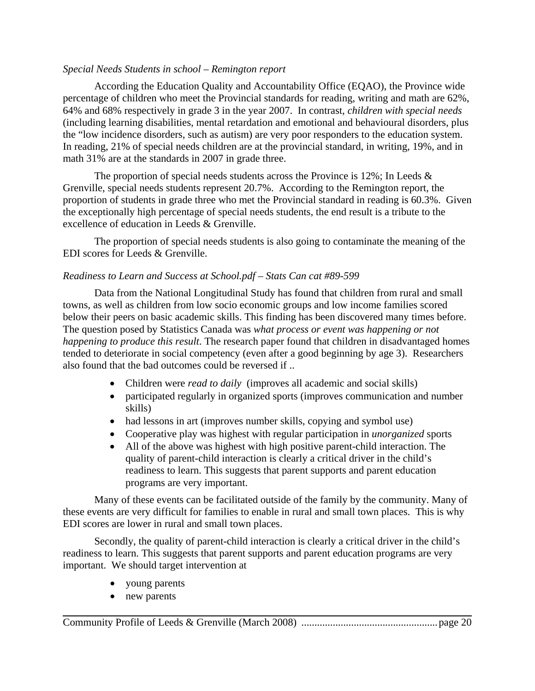## *Special Needs Students in school – Remington report*

According the Education Quality and Accountability Office (EQAO), the Province wide percentage of children who meet the Provincial standards for reading, writing and math are 62%, 64% and 68% respectively in grade 3 in the year 2007. In contrast, *children with special needs* (including learning disabilities, mental retardation and emotional and behavioural disorders, plus the "low incidence disorders, such as autism) are very poor responders to the education system. In reading, 21% of special needs children are at the provincial standard, in writing, 19%, and in math 31% are at the standards in 2007 in grade three.

The proportion of special needs students across the Province is 12%; In Leeds  $\&$ Grenville, special needs students represent 20.7%. According to the Remington report, the proportion of students in grade three who met the Provincial standard in reading is 60.3%. Given the exceptionally high percentage of special needs students, the end result is a tribute to the excellence of education in Leeds & Grenville.

The proportion of special needs students is also going to contaminate the meaning of the EDI scores for Leeds & Grenville.

## *Readiness to Learn and Success at School.pdf – Stats Can cat #89-599*

Data from the National Longitudinal Study has found that children from rural and small towns, as well as children from low socio economic groups and low income families scored below their peers on basic academic skills. This finding has been discovered many times before. The question posed by Statistics Canada was *what process or event was happening or not happening to produce this result*. The research paper found that children in disadvantaged homes tended to deteriorate in social competency (even after a good beginning by age 3). Researchers also found that the bad outcomes could be reversed if ..

- Children were *read to daily* (improves all academic and social skills)
- participated regularly in organized sports (improves communication and number skills)
- had lessons in art (improves number skills, copying and symbol use)
- Cooperative play was highest with regular participation in *unorganized* sports
- All of the above was highest with high positive parent-child interaction. The quality of parent-child interaction is clearly a critical driver in the child's readiness to learn. This suggests that parent supports and parent education programs are very important.

Many of these events can be facilitated outside of the family by the community. Many of these events are very difficult for families to enable in rural and small town places. This is why EDI scores are lower in rural and small town places.

Secondly, the quality of parent-child interaction is clearly a critical driver in the child's readiness to learn. This suggests that parent supports and parent education programs are very important. We should target intervention at

- young parents
- new parents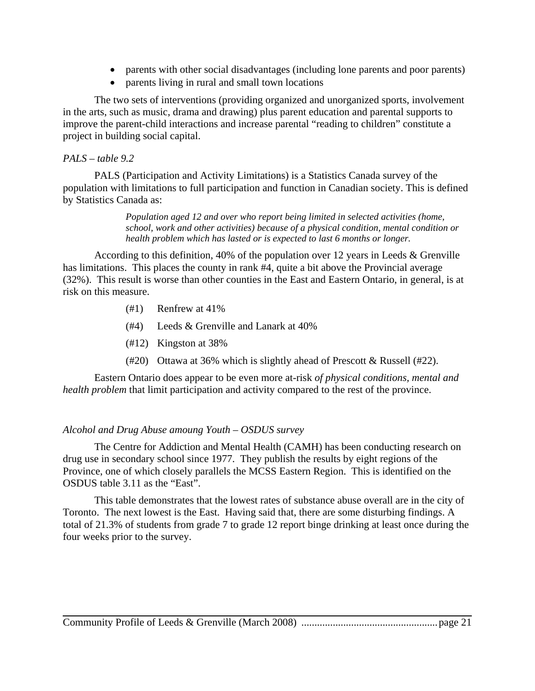- parents with other social disadvantages (including lone parents and poor parents)
- parents living in rural and small town locations

The two sets of interventions (providing organized and unorganized sports, involvement in the arts, such as music, drama and drawing) plus parent education and parental supports to improve the parent-child interactions and increase parental "reading to children" constitute a project in building social capital.

## *PALS – table 9.2*

PALS (Participation and Activity Limitations) is a Statistics Canada survey of the population with limitations to full participation and function in Canadian society. This is defined by Statistics Canada as:

> *Population aged 12 and over who report being limited in selected activities (home, school, work and other activities) because of a physical condition, mental condition or health problem which has lasted or is expected to last 6 months or longer.*

According to this definition, 40% of the population over 12 years in Leeds & Grenville has limitations. This places the county in rank #4, quite a bit above the Provincial average (32%). This result is worse than other counties in the East and Eastern Ontario, in general, is at risk on this measure.

- (#1) Renfrew at 41%
- (#4) Leeds & Grenville and Lanark at 40%
- (#12) Kingston at 38%
- (#20) Ottawa at 36% which is slightly ahead of Prescott & Russell (#22).

Eastern Ontario does appear to be even more at-risk *of physical conditions, mental and health problem* that limit participation and activity compared to the rest of the province.

### *Alcohol and Drug Abuse amoung Youth – OSDUS survey*

The Centre for Addiction and Mental Health (CAMH) has been conducting research on drug use in secondary school since 1977. They publish the results by eight regions of the Province, one of which closely parallels the MCSS Eastern Region. This is identified on the OSDUS table 3.11 as the "East".

This table demonstrates that the lowest rates of substance abuse overall are in the city of Toronto. The next lowest is the East. Having said that, there are some disturbing findings. A total of 21.3% of students from grade 7 to grade 12 report binge drinking at least once during the four weeks prior to the survey.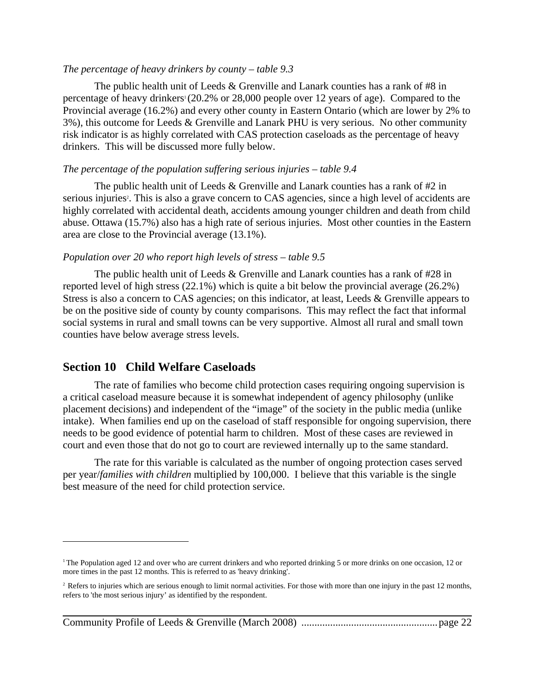#### *The percentage of heavy drinkers by county – table 9.3*

The public health unit of Leeds & Grenville and Lanark counties has a rank of #8 in percentage of heavy drinkers<sup>1</sup> (20.2% or 28,000 people over 12 years of age). Compared to the Provincial average (16.2%) and every other county in Eastern Ontario (which are lower by 2% to 3%), this outcome for Leeds & Grenville and Lanark PHU is very serious. No other community risk indicator is as highly correlated with CAS protection caseloads as the percentage of heavy drinkers. This will be discussed more fully below.

#### *The percentage of the population suffering serious injuries – table 9.4*

The public health unit of Leeds & Grenville and Lanark counties has a rank of #2 in serious injuries<sup>2</sup>. This is also a grave concern to CAS agencies, since a high level of accidents are highly correlated with accidental death, accidents amoung younger children and death from child abuse. Ottawa (15.7%) also has a high rate of serious injuries. Most other counties in the Eastern area are close to the Provincial average (13.1%).

#### *Population over 20 who report high levels of stress – table 9.5*

The public health unit of Leeds & Grenville and Lanark counties has a rank of  $\#28$  in reported level of high stress (22.1%) which is quite a bit below the provincial average (26.2%) Stress is also a concern to CAS agencies; on this indicator, at least, Leeds & Grenville appears to be on the positive side of county by county comparisons. This may reflect the fact that informal social systems in rural and small towns can be very supportive. Almost all rural and small town counties have below average stress levels.

### **Section 10 Child Welfare Caseloads**

 $\overline{a}$ 

The rate of families who become child protection cases requiring ongoing supervision is a critical caseload measure because it is somewhat independent of agency philosophy (unlike placement decisions) and independent of the "image" of the society in the public media (unlike intake). When families end up on the caseload of staff responsible for ongoing supervision, there needs to be good evidence of potential harm to children. Most of these cases are reviewed in court and even those that do not go to court are reviewed internally up to the same standard.

The rate for this variable is calculated as the number of ongoing protection cases served per year/*families with children* multiplied by 100,000. I believe that this variable is the single best measure of the need for child protection service.

Community Profile of Leeds & Grenville (March 2008) ....................................................page 22

<sup>1</sup> The Population aged 12 and over who are current drinkers and who reported drinking 5 or more drinks on one occasion, 12 or more times in the past 12 months. This is referred to as 'heavy drinking'.

<sup>&</sup>lt;sup>2</sup> Refers to injuries which are serious enough to limit normal activities. For those with more than one injury in the past 12 months, refers to 'the most serious injury' as identified by the respondent.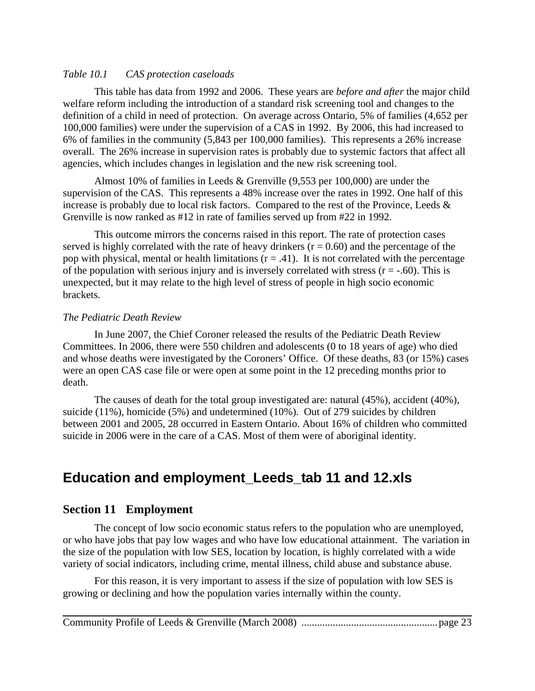### *Table 10.1 CAS protection caseloads*

This table has data from 1992 and 2006. These years are *before and after* the major child welfare reform including the introduction of a standard risk screening tool and changes to the definition of a child in need of protection. On average across Ontario, 5% of families (4,652 per 100,000 families) were under the supervision of a CAS in 1992. By 2006, this had increased to 6% of families in the community (5,843 per 100,000 families). This represents a 26% increase overall. The 26% increase in supervision rates is probably due to systemic factors that affect all agencies, which includes changes in legislation and the new risk screening tool.

Almost 10% of families in Leeds & Grenville (9,553 per 100,000) are under the supervision of the CAS. This represents a 48% increase over the rates in 1992. One half of this increase is probably due to local risk factors. Compared to the rest of the Province, Leeds  $\&$ Grenville is now ranked as #12 in rate of families served up from #22 in 1992.

This outcome mirrors the concerns raised in this report. The rate of protection cases served is highly correlated with the rate of heavy drinkers  $(r = 0.60)$  and the percentage of the pop with physical, mental or health limitations  $(r = .41)$ . It is not correlated with the percentage of the population with serious injury and is inversely correlated with stress  $(r = -.60)$ . This is unexpected, but it may relate to the high level of stress of people in high socio economic brackets.

### *The Pediatric Death Review*

In June 2007, the Chief Coroner released the results of the Pediatric Death Review Committees. In 2006, there were 550 children and adolescents (0 to 18 years of age) who died and whose deaths were investigated by the Coroners' Office. Of these deaths, 83 (or 15%) cases were an open CAS case file or were open at some point in the 12 preceding months prior to death.

The causes of death for the total group investigated are: natural (45%), accident (40%), suicide (11%), homicide (5%) and undetermined (10%). Out of 279 suicides by children between 2001 and 2005, 28 occurred in Eastern Ontario. About 16% of children who committed suicide in 2006 were in the care of a CAS. Most of them were of aboriginal identity.

# **Education and employment\_Leeds\_tab 11 and 12.xls**

# **Section 11 Employment**

The concept of low socio economic status refers to the population who are unemployed, or who have jobs that pay low wages and who have low educational attainment. The variation in the size of the population with low SES, location by location, is highly correlated with a wide variety of social indicators, including crime, mental illness, child abuse and substance abuse.

For this reason, it is very important to assess if the size of population with low SES is growing or declining and how the population varies internally within the county.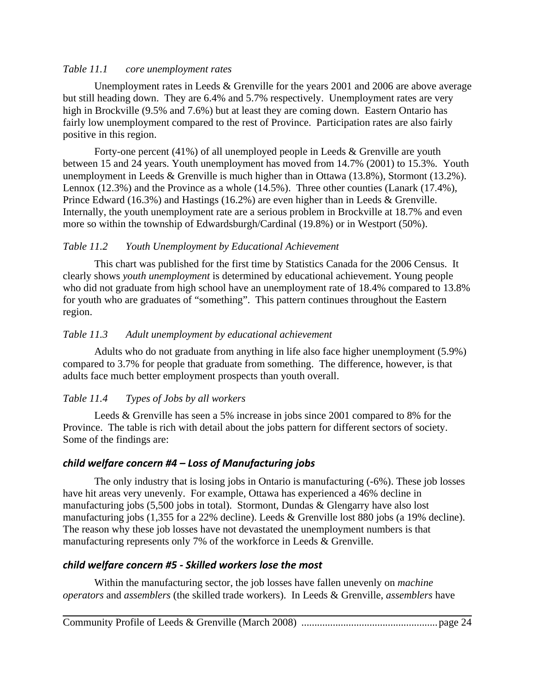## *Table 11.1 core unemployment rates*

Unemployment rates in Leeds & Grenville for the years 2001 and 2006 are above average but still heading down. They are 6.4% and 5.7% respectively. Unemployment rates are very high in Brockville (9.5% and 7.6%) but at least they are coming down. Eastern Ontario has fairly low unemployment compared to the rest of Province. Participation rates are also fairly positive in this region.

Forty-one percent (41%) of all unemployed people in Leeds & Grenville are youth between 15 and 24 years. Youth unemployment has moved from 14.7% (2001) to 15.3%. Youth unemployment in Leeds & Grenville is much higher than in Ottawa (13.8%), Stormont (13.2%). Lennox (12.3%) and the Province as a whole (14.5%). Three other counties (Lanark (17.4%), Prince Edward (16.3%) and Hastings (16.2%) are even higher than in Leeds & Grenville. Internally, the youth unemployment rate are a serious problem in Brockville at 18.7% and even more so within the township of Edwardsburgh/Cardinal (19.8%) or in Westport (50%).

# *Table 11.2 Youth Unemployment by Educational Achievement*

 This chart was published for the first time by Statistics Canada for the 2006 Census. It clearly shows *youth unemployment* is determined by educational achievement. Young people who did not graduate from high school have an unemployment rate of 18.4% compared to 13.8% for youth who are graduates of "something". This pattern continues throughout the Eastern region.

# *Table 11.3 Adult unemployment by educational achievement*

Adults who do not graduate from anything in life also face higher unemployment (5.9%) compared to 3.7% for people that graduate from something. The difference, however, is that adults face much better employment prospects than youth overall.

# *Table 11.4 Types of Jobs by all workers*

Leeds & Grenville has seen a 5% increase in jobs since 2001 compared to 8% for the Province. The table is rich with detail about the jobs pattern for different sectors of society. Some of the findings are:

# *child welfare concern #4 – Loss of Manufacturing jobs*

The only industry that is losing jobs in Ontario is manufacturing (-6%). These job losses have hit areas very unevenly. For example, Ottawa has experienced a 46% decline in manufacturing jobs (5,500 jobs in total). Stormont, Dundas & Glengarry have also lost manufacturing jobs (1,355 for a 22% decline). Leeds & Grenville lost 880 jobs (a 19% decline). The reason why these job losses have not devastated the unemployment numbers is that manufacturing represents only 7% of the workforce in Leeds & Grenville.

# *child welfare concern #5 ‐ Skilled workers lose the most*

Within the manufacturing sector, the job losses have fallen unevenly on *machine operators* and *assemblers* (the skilled trade workers). In Leeds & Grenville, *assemblers* have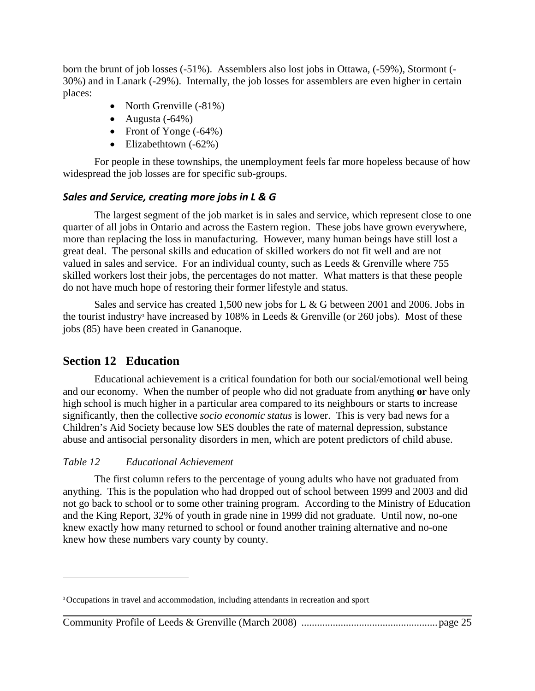born the brunt of job losses (-51%). Assemblers also lost jobs in Ottawa, (-59%), Stormont (- 30%) and in Lanark (-29%). Internally, the job losses for assemblers are even higher in certain places:

- North Grenville (-81%)
- Augusta  $(-64%)$
- Front of Yonge (-64%)
- Elizabethtown  $(-62%)$

For people in these townships, the unemployment feels far more hopeless because of how widespread the job losses are for specific sub-groups.

# *Sales and Service, creating more jobs in L & G*

The largest segment of the job market is in sales and service, which represent close to one quarter of all jobs in Ontario and across the Eastern region. These jobs have grown everywhere, more than replacing the loss in manufacturing. However, many human beings have still lost a great deal. The personal skills and education of skilled workers do not fit well and are not valued in sales and service. For an individual county, such as Leeds & Grenville where 755 skilled workers lost their jobs, the percentages do not matter. What matters is that these people do not have much hope of restoring their former lifestyle and status.

Sales and service has created 1,500 new jobs for L & G between 2001 and 2006. Jobs in the tourist industry<sup>3</sup> have increased by 108% in Leeds  $&$  Grenville (or 260 jobs). Most of these jobs (85) have been created in Gananoque.

# **Section 12 Education**

 $\overline{a}$ 

Educational achievement is a critical foundation for both our social/emotional well being and our economy. When the number of people who did not graduate from anything **or** have only high school is much higher in a particular area compared to its neighbours or starts to increase significantly, then the collective *socio economic status* is lower. This is very bad news for a Children's Aid Society because low SES doubles the rate of maternal depression, substance abuse and antisocial personality disorders in men, which are potent predictors of child abuse.

# *Table 12 Educational Achievement*

The first column refers to the percentage of young adults who have not graduated from anything. This is the population who had dropped out of school between 1999 and 2003 and did not go back to school or to some other training program. According to the Ministry of Education and the King Report, 32% of youth in grade nine in 1999 did not graduate. Until now, no-one knew exactly how many returned to school or found another training alternative and no-one knew how these numbers vary county by county.

<sup>&</sup>lt;sup>3</sup> Occupations in travel and accommodation, including attendants in recreation and sport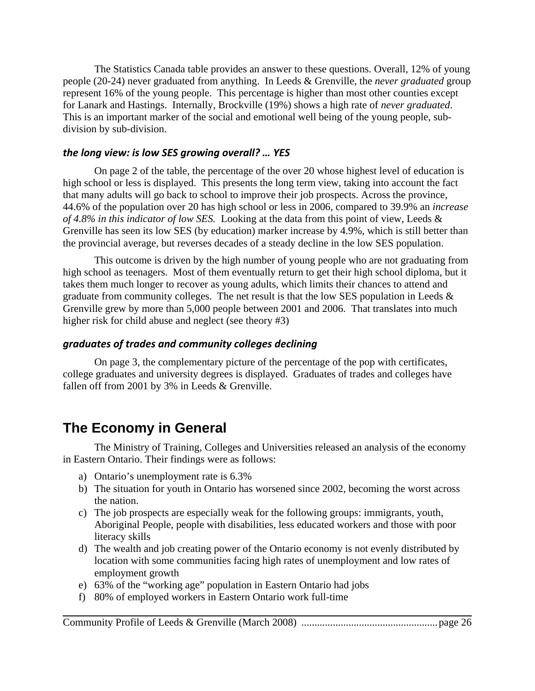The Statistics Canada table provides an answer to these questions. Overall, 12% of young people (20-24) never graduated from anything. In Leeds & Grenville, the *never graduated* group represent 16% of the young people. This percentage is higher than most other counties except for Lanark and Hastings. Internally, Brockville (19%) shows a high rate of *never graduated*. This is an important marker of the social and emotional well being of the young people, subdivision by sub-division.

## *the long view: is low SES growing overall? … YES*

On page 2 of the table, the percentage of the over 20 whose highest level of education is high school or less is displayed. This presents the long term view, taking into account the fact that many adults will go back to school to improve their job prospects. Across the province, 44.6% of the population over 20 has high school or less in 2006, compared to 39.9% an *increase of 4.8% in this indicator of low SES.* Looking at the data from this point of view, Leeds & Grenville has seen its low SES (by education) marker increase by 4.9%, which is still better than the provincial average, but reverses decades of a steady decline in the low SES population.

This outcome is driven by the high number of young people who are not graduating from high school as teenagers. Most of them eventually return to get their high school diploma, but it takes them much longer to recover as young adults, which limits their chances to attend and graduate from community colleges. The net result is that the low SES population in Leeds & Grenville grew by more than 5,000 people between 2001 and 2006. That translates into much higher risk for child abuse and neglect (see theory #3)

## *graduates of trades and community colleges declining*

On page 3, the complementary picture of the percentage of the pop with certificates, college graduates and university degrees is displayed. Graduates of trades and colleges have fallen off from 2001 by 3% in Leeds & Grenville.

# **The Economy in General**

The Ministry of Training, Colleges and Universities released an analysis of the economy in Eastern Ontario. Their findings were as follows:

- a) Ontario's unemployment rate is 6.3%
- b) The situation for youth in Ontario has worsened since 2002, becoming the worst across the nation.
- c) The job prospects are especially weak for the following groups: immigrants, youth, Aboriginal People, people with disabilities, less educated workers and those with poor literacy skills
- d) The wealth and job creating power of the Ontario economy is not evenly distributed by location with some communities facing high rates of unemployment and low rates of employment growth
- e) 63% of the "working age" population in Eastern Ontario had jobs
- f) 80% of employed workers in Eastern Ontario work full-time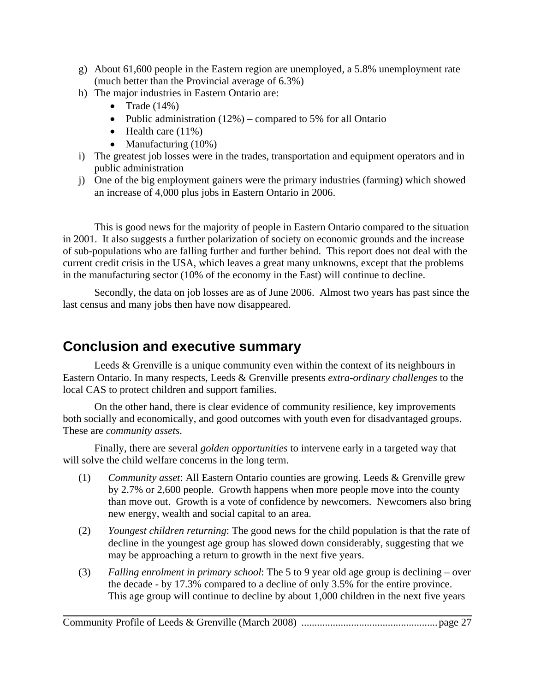- g) About 61,600 people in the Eastern region are unemployed, a 5.8% unemployment rate (much better than the Provincial average of 6.3%)
- h) The major industries in Eastern Ontario are:
	- Trade  $(14\%)$
	- Public administration  $(12%)$  compared to 5% for all Ontario
	- Health care  $(11\%)$
	- Manufacturing (10%)
- i) The greatest job losses were in the trades, transportation and equipment operators and in public administration
- j) One of the big employment gainers were the primary industries (farming) which showed an increase of 4,000 plus jobs in Eastern Ontario in 2006.

This is good news for the majority of people in Eastern Ontario compared to the situation in 2001. It also suggests a further polarization of society on economic grounds and the increase of sub-populations who are falling further and further behind. This report does not deal with the current credit crisis in the USA, which leaves a great many unknowns, except that the problems in the manufacturing sector (10% of the economy in the East) will continue to decline.

Secondly, the data on job losses are as of June 2006. Almost two years has past since the last census and many jobs then have now disappeared.

# **Conclusion and executive summary**

Leeds & Grenville is a unique community even within the context of its neighbours in Eastern Ontario. In many respects, Leeds & Grenville presents *extra-ordinary challenges* to the local CAS to protect children and support families.

On the other hand, there is clear evidence of community resilience, key improvements both socially and economically, and good outcomes with youth even for disadvantaged groups. These are *community assets*.

Finally, there are several *golden opportunities* to intervene early in a targeted way that will solve the child welfare concerns in the long term.

- (1) *Community asset*: All Eastern Ontario counties are growing. Leeds & Grenville grew by 2.7% or 2,600 people. Growth happens when more people move into the county than move out. Growth is a vote of confidence by newcomers. Newcomers also bring new energy, wealth and social capital to an area.
- (2) *Youngest children returning*: The good news for the child population is that the rate of decline in the youngest age group has slowed down considerably, suggesting that we may be approaching a return to growth in the next five years.
- (3) *Falling enrolment in primary school*: The 5 to 9 year old age group is declining over the decade - by 17.3% compared to a decline of only 3.5% for the entire province. This age group will continue to decline by about 1,000 children in the next five years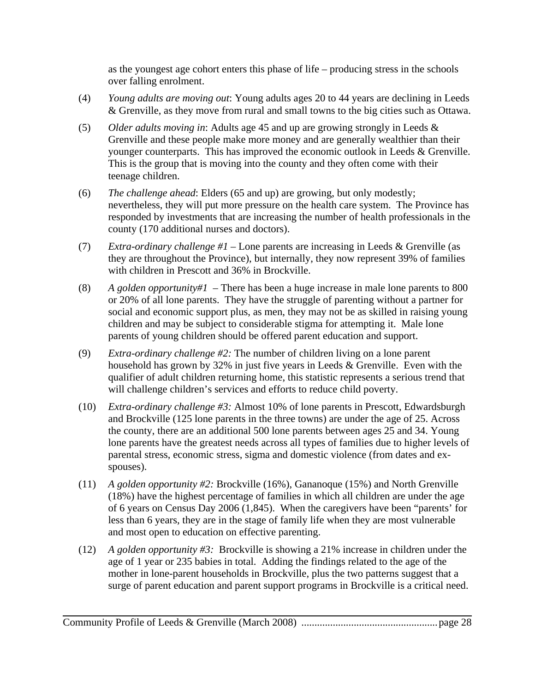as the youngest age cohort enters this phase of life – producing stress in the schools over falling enrolment.

- (4) *Young adults are moving out*: Young adults ages 20 to 44 years are declining in Leeds & Grenville, as they move from rural and small towns to the big cities such as Ottawa.
- (5) *Older adults moving in*: Adults age 45 and up are growing strongly in Leeds & Grenville and these people make more money and are generally wealthier than their younger counterparts. This has improved the economic outlook in Leeds & Grenville. This is the group that is moving into the county and they often come with their teenage children.
- (6) *The challenge ahead*: Elders (65 and up) are growing, but only modestly; nevertheless, they will put more pressure on the health care system. The Province has responded by investments that are increasing the number of health professionals in the county (170 additional nurses and doctors).
- (7) *Extra-ordinary challenge #1*  Lone parents are increasing in Leeds & Grenville (as they are throughout the Province), but internally, they now represent 39% of families with children in Prescott and 36% in Brockville.
- (8) *A golden opportunity#1 –* There has been a huge increase in male lone parents to 800 or 20% of all lone parents. They have the struggle of parenting without a partner for social and economic support plus, as men, they may not be as skilled in raising young children and may be subject to considerable stigma for attempting it. Male lone parents of young children should be offered parent education and support.
- (9) *Extra-ordinary challenge #2:* The number of children living on a lone parent household has grown by 32% in just five years in Leeds & Grenville. Even with the qualifier of adult children returning home, this statistic represents a serious trend that will challenge children's services and efforts to reduce child poverty.
- (10) *Extra-ordinary challenge #3:* Almost 10% of lone parents in Prescott, Edwardsburgh and Brockville (125 lone parents in the three towns) are under the age of 25. Across the county, there are an additional 500 lone parents between ages 25 and 34. Young lone parents have the greatest needs across all types of families due to higher levels of parental stress, economic stress, sigma and domestic violence (from dates and exspouses).
- (11) *A golden opportunity #2:* Brockville (16%), Gananoque (15%) and North Grenville (18%) have the highest percentage of families in which all children are under the age of 6 years on Census Day 2006 (1,845). When the caregivers have been "parents' for less than 6 years, they are in the stage of family life when they are most vulnerable and most open to education on effective parenting.
- (12) *A golden opportunity #3:* Brockville is showing a 21% increase in children under the age of 1 year or 235 babies in total. Adding the findings related to the age of the mother in lone-parent households in Brockville, plus the two patterns suggest that a surge of parent education and parent support programs in Brockville is a critical need.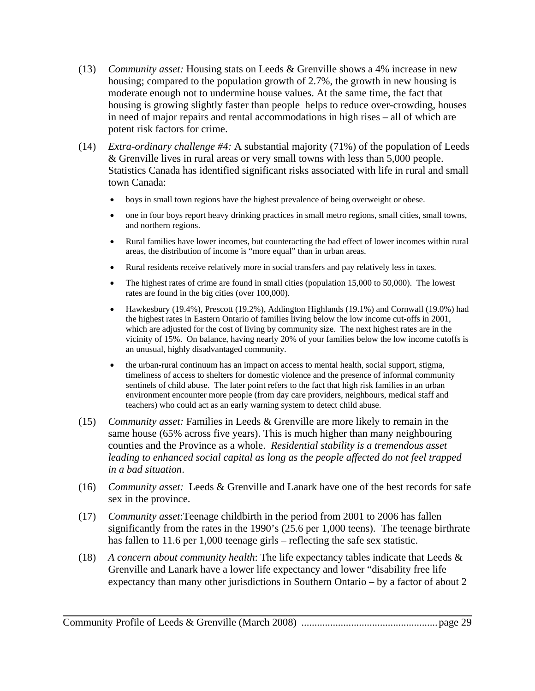- (13) *Community asset:* Housing stats on Leeds & Grenville shows a 4% increase in new housing; compared to the population growth of 2.7%, the growth in new housing is moderate enough not to undermine house values. At the same time, the fact that housing is growing slightly faster than people helps to reduce over-crowding, houses in need of major repairs and rental accommodations in high rises – all of which are potent risk factors for crime.
- (14) *Extra-ordinary challenge #4:* A substantial majority (71%) of the population of Leeds & Grenville lives in rural areas or very small towns with less than 5,000 people. Statistics Canada has identified significant risks associated with life in rural and small town Canada:
	- boys in small town regions have the highest prevalence of being overweight or obese.
	- one in four boys report heavy drinking practices in small metro regions, small cities, small towns, and northern regions.
	- Rural families have lower incomes, but counteracting the bad effect of lower incomes within rural areas, the distribution of income is "more equal" than in urban areas.
	- Rural residents receive relatively more in social transfers and pay relatively less in taxes.
	- The highest rates of crime are found in small cities (population 15,000 to 50,000). The lowest rates are found in the big cities (over 100,000).
	- Hawkesbury (19.4%), Prescott (19.2%), Addington Highlands (19.1%) and Cornwall (19.0%) had the highest rates in Eastern Ontario of families living below the low income cut-offs in 2001, which are adjusted for the cost of living by community size. The next highest rates are in the vicinity of 15%. On balance, having nearly 20% of your families below the low income cutoffs is an unusual, highly disadvantaged community.
	- the urban-rural continuum has an impact on access to mental health, social support, stigma, timeliness of access to shelters for domestic violence and the presence of informal community sentinels of child abuse. The later point refers to the fact that high risk families in an urban environment encounter more people (from day care providers, neighbours, medical staff and teachers) who could act as an early warning system to detect child abuse.
- (15) *Community asset:* Families in Leeds & Grenville are more likely to remain in the same house (65% across five years). This is much higher than many neighbouring counties and the Province as a whole. *Residential stability is a tremendous asset leading to enhanced social capital as long as the people affected do not feel trapped in a bad situation*.
- (16) *Community asset:* Leeds & Grenville and Lanark have one of the best records for safe sex in the province.
- (17) *Community asset*:Teenage childbirth in the period from 2001 to 2006 has fallen significantly from the rates in the 1990's (25.6 per 1,000 teens). The teenage birthrate has fallen to 11.6 per 1,000 teenage girls – reflecting the safe sex statistic.
- (18) *A concern about community health*: The life expectancy tables indicate that Leeds & Grenville and Lanark have a lower life expectancy and lower "disability free life expectancy than many other jurisdictions in Southern Ontario – by a factor of about 2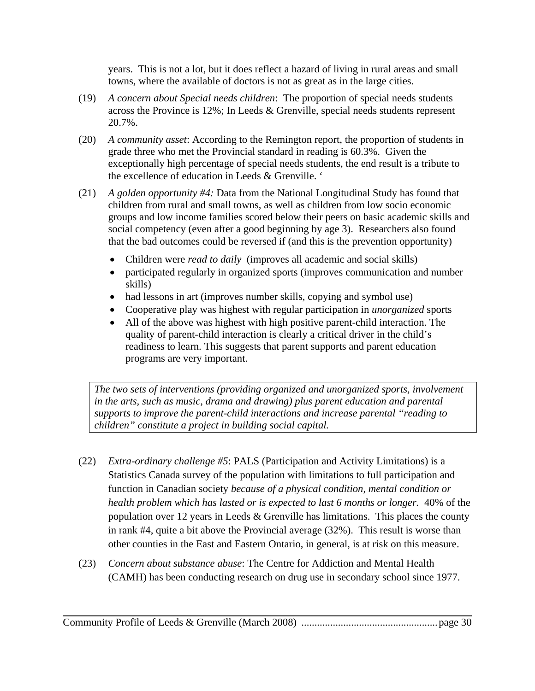years. This is not a lot, but it does reflect a hazard of living in rural areas and small towns, where the available of doctors is not as great as in the large cities.

- (19) *A concern about Special needs children*: The proportion of special needs students across the Province is 12%; In Leeds & Grenville, special needs students represent 20.7%.
- (20) *A community asset*: According to the Remington report, the proportion of students in grade three who met the Provincial standard in reading is 60.3%. Given the exceptionally high percentage of special needs students, the end result is a tribute to the excellence of education in Leeds & Grenville. '
- (21) *A golden opportunity #4:* Data from the National Longitudinal Study has found that children from rural and small towns, as well as children from low socio economic groups and low income families scored below their peers on basic academic skills and social competency (even after a good beginning by age 3). Researchers also found that the bad outcomes could be reversed if (and this is the prevention opportunity)
	- Children were *read to daily* (improves all academic and social skills)
	- participated regularly in organized sports (improves communication and number skills)
	- had lessons in art (improves number skills, copying and symbol use)
	- Cooperative play was highest with regular participation in *unorganized* sports
	- All of the above was highest with high positive parent-child interaction. The quality of parent-child interaction is clearly a critical driver in the child's readiness to learn. This suggests that parent supports and parent education programs are very important.

*The two sets of interventions (providing organized and unorganized sports, involvement in the arts, such as music, drama and drawing) plus parent education and parental supports to improve the parent-child interactions and increase parental "reading to children" constitute a project in building social capital.* 

- (22) *Extra-ordinary challenge #5*: PALS (Participation and Activity Limitations) is a Statistics Canada survey of the population with limitations to full participation and function in Canadian society *because of a physical condition, mental condition or health problem which has lasted or is expected to last 6 months or longer.* 40% of the population over 12 years in Leeds & Grenville has limitations. This places the county in rank #4, quite a bit above the Provincial average (32%). This result is worse than other counties in the East and Eastern Ontario, in general, is at risk on this measure.
- (23) *Concern about substance abuse*: The Centre for Addiction and Mental Health (CAMH) has been conducting research on drug use in secondary school since 1977.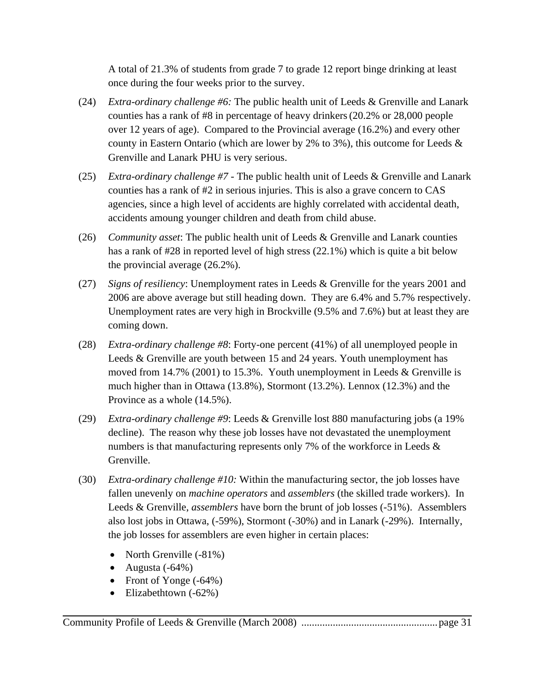A total of 21.3% of students from grade 7 to grade 12 report binge drinking at least once during the four weeks prior to the survey.

- (24) *Extra-ordinary challenge #6:* The public health unit of Leeds & Grenville and Lanark counties has a rank of #8 in percentage of heavy drinkers(20.2% or 28,000 people over 12 years of age). Compared to the Provincial average (16.2%) and every other county in Eastern Ontario (which are lower by 2% to 3%), this outcome for Leeds & Grenville and Lanark PHU is very serious.
- (25) *Extra-ordinary challenge #7* The public health unit of Leeds & Grenville and Lanark counties has a rank of #2 in serious injuries. This is also a grave concern to CAS agencies, since a high level of accidents are highly correlated with accidental death, accidents amoung younger children and death from child abuse.
- (26) *Community asset*: The public health unit of Leeds & Grenville and Lanark counties has a rank of #28 in reported level of high stress (22.1%) which is quite a bit below the provincial average (26.2%).
- (27) *Signs of resiliency*: Unemployment rates in Leeds & Grenville for the years 2001 and 2006 are above average but still heading down. They are 6.4% and 5.7% respectively. Unemployment rates are very high in Brockville (9.5% and 7.6%) but at least they are coming down.
- (28) *Extra-ordinary challenge #8*: Forty-one percent (41%) of all unemployed people in Leeds & Grenville are youth between 15 and 24 years. Youth unemployment has moved from 14.7% (2001) to 15.3%. Youth unemployment in Leeds & Grenville is much higher than in Ottawa (13.8%), Stormont (13.2%). Lennox (12.3%) and the Province as a whole (14.5%).
- (29) *Extra-ordinary challenge #9*: Leeds & Grenville lost 880 manufacturing jobs (a 19% decline). The reason why these job losses have not devastated the unemployment numbers is that manufacturing represents only 7% of the workforce in Leeds & Grenville.
- (30) *Extra-ordinary challenge #10:* Within the manufacturing sector, the job losses have fallen unevenly on *machine operators* and *assemblers* (the skilled trade workers). In Leeds & Grenville, *assemblers* have born the brunt of job losses (-51%). Assemblers also lost jobs in Ottawa, (-59%), Stormont (-30%) and in Lanark (-29%). Internally, the job losses for assemblers are even higher in certain places:
	- North Grenville (-81%)
	- Augusta  $(-64%)$
	- Front of Yonge (-64%)
	- Elizabethtown (-62%)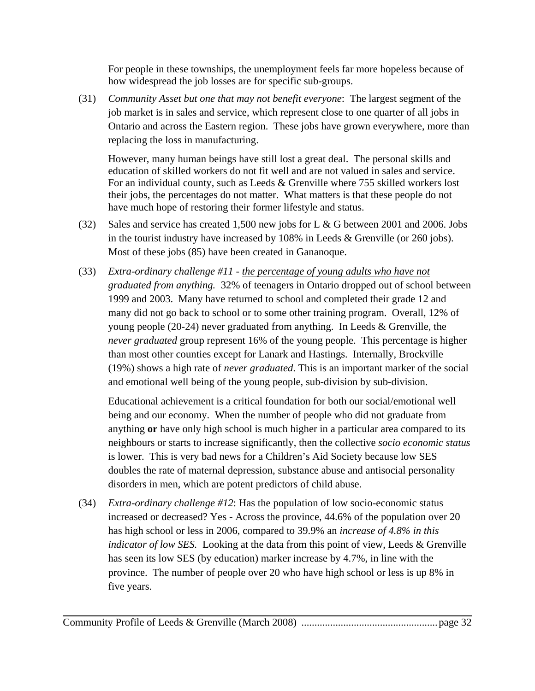For people in these townships, the unemployment feels far more hopeless because of how widespread the job losses are for specific sub-groups.

(31) *Community Asset but one that may not benefit everyone*: The largest segment of the job market is in sales and service, which represent close to one quarter of all jobs in Ontario and across the Eastern region. These jobs have grown everywhere, more than replacing the loss in manufacturing.

However, many human beings have still lost a great deal. The personal skills and education of skilled workers do not fit well and are not valued in sales and service. For an individual county, such as Leeds & Grenville where 755 skilled workers lost their jobs, the percentages do not matter. What matters is that these people do not have much hope of restoring their former lifestyle and status.

- (32) Sales and service has created 1,500 new jobs for L & G between 2001 and 2006. Jobs in the tourist industry have increased by 108% in Leeds & Grenville (or 260 jobs). Most of these jobs (85) have been created in Gananoque.
- (33) *Extra-ordinary challenge #11 the percentage of young adults who have not graduated from anything.* 32% of teenagers in Ontario dropped out of school between 1999 and 2003. Many have returned to school and completed their grade 12 and many did not go back to school or to some other training program. Overall, 12% of young people (20-24) never graduated from anything. In Leeds & Grenville, the *never graduated* group represent 16% of the young people. This percentage is higher than most other counties except for Lanark and Hastings. Internally, Brockville (19%) shows a high rate of *never graduated*. This is an important marker of the social and emotional well being of the young people, sub-division by sub-division.

Educational achievement is a critical foundation for both our social/emotional well being and our economy. When the number of people who did not graduate from anything **or** have only high school is much higher in a particular area compared to its neighbours or starts to increase significantly, then the collective *socio economic status* is lower. This is very bad news for a Children's Aid Society because low SES doubles the rate of maternal depression, substance abuse and antisocial personality disorders in men, which are potent predictors of child abuse.

(34) *Extra-ordinary challenge #12*: Has the population of low socio-economic status increased or decreased? Yes - Across the province, 44.6% of the population over 20 has high school or less in 2006, compared to 39.9% an *increase of 4.8% in this indicator of low SES.* Looking at the data from this point of view, Leeds & Grenville has seen its low SES (by education) marker increase by 4.7%, in line with the province. The number of people over 20 who have high school or less is up 8% in five years.

Community Profile of Leeds & Grenville (March 2008) ....................................................page 32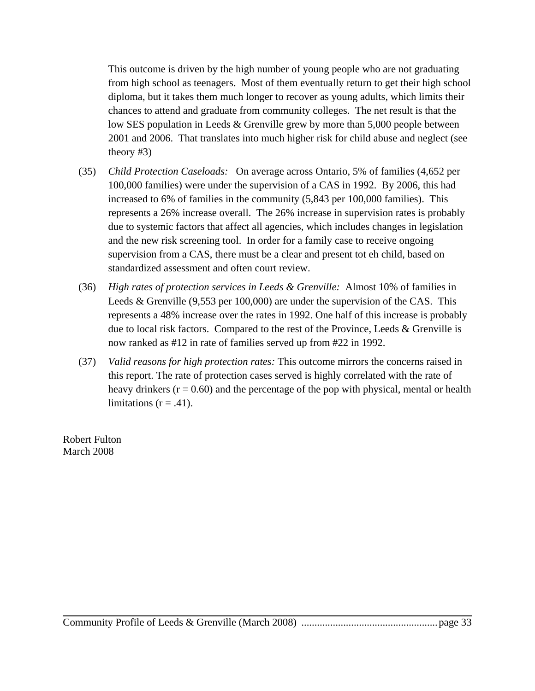This outcome is driven by the high number of young people who are not graduating from high school as teenagers. Most of them eventually return to get their high school diploma, but it takes them much longer to recover as young adults, which limits their chances to attend and graduate from community colleges. The net result is that the low SES population in Leeds & Grenville grew by more than 5,000 people between 2001 and 2006. That translates into much higher risk for child abuse and neglect (see theory #3)

- (35) *Child Protection Caseloads:* On average across Ontario, 5% of families (4,652 per 100,000 families) were under the supervision of a CAS in 1992. By 2006, this had increased to 6% of families in the community (5,843 per 100,000 families). This represents a 26% increase overall. The 26% increase in supervision rates is probably due to systemic factors that affect all agencies, which includes changes in legislation and the new risk screening tool. In order for a family case to receive ongoing supervision from a CAS, there must be a clear and present tot eh child, based on standardized assessment and often court review.
- (36) *High rates of protection services in Leeds & Grenville:* Almost 10% of families in Leeds & Grenville (9,553 per 100,000) are under the supervision of the CAS. This represents a 48% increase over the rates in 1992. One half of this increase is probably due to local risk factors. Compared to the rest of the Province, Leeds & Grenville is now ranked as #12 in rate of families served up from #22 in 1992.
- (37) *Valid reasons for high protection rates:* This outcome mirrors the concerns raised in this report. The rate of protection cases served is highly correlated with the rate of heavy drinkers ( $r = 0.60$ ) and the percentage of the pop with physical, mental or health limitations  $(r = .41)$ .

Robert Fulton March 2008